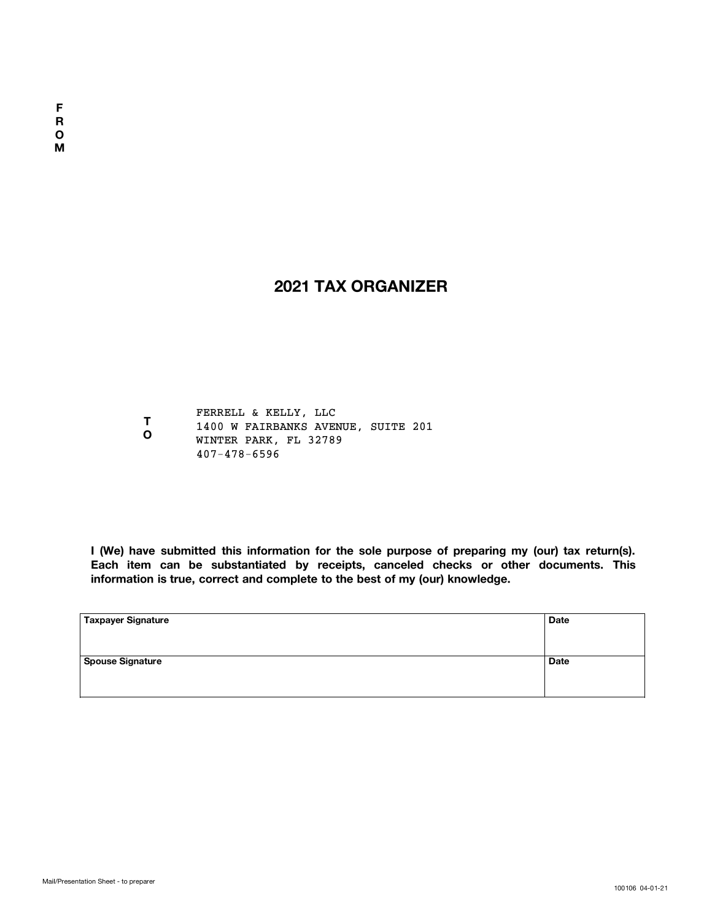### **2021 TAX ORGANIZER**

**TO**FERRELL & KELLY, LLC 1400 W FAIRBANKS AVENUE, SUITE 201 WINTER PARK, FL 32789 407-478-6596

**I (We) have submitted this information for the sole purpose of preparing my (our) tax return(s). Each item can be substantiated by receipts, canceled checks or other documents. This information is true, correct and complete to the best of my (our) knowledge.**

| Taxpayer Signature      | <b>Date</b> |
|-------------------------|-------------|
| <b>Spouse Signature</b> | <b>Date</b> |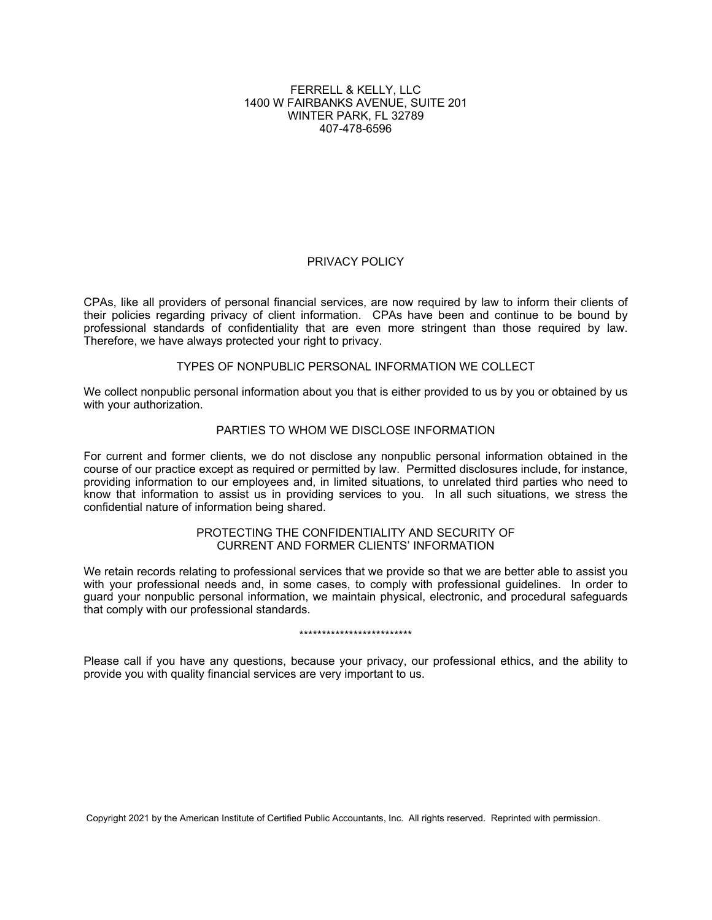#### FERRELL & KELLY, LLC 1400 W FAIRBANKS AVENUE, SUITE 201 WINTER PARK, FL 32789 407-478-6596

#### PRIVACY POLICY

CPAs, like all providers of personal financial services, are now required by law to inform their clients of their policies regarding privacy of client information. CPAs have been and continue to be bound by professional standards of confidentiality that are even more stringent than those required by law. Therefore, we have always protected your right to privacy.

#### TYPES OF NONPUBLIC PERSONAL INFORMATION WE COLLECT

We collect nonpublic personal information about you that is either provided to us by you or obtained by us with your authorization.

#### PARTIES TO WHOM WE DISCLOSE INFORMATION

For current and former clients, we do not disclose any nonpublic personal information obtained in the course of our practice except as required or permitted by law. Permitted disclosures include, for instance, providing information to our employees and, in limited situations, to unrelated third parties who need to know that information to assist us in providing services to you. In all such situations, we stress the confidential nature of information being shared.

#### PROTECTING THE CONFIDENTIALITY AND SECURITY OF CURRENT AND FORMER CLIENTS' INFORMATION

We retain records relating to professional services that we provide so that we are better able to assist you with your professional needs and, in some cases, to comply with professional guidelines. In order to guard your nonpublic personal information, we maintain physical, electronic, and procedural safeguards that comply with our professional standards.

#### \*\*\*\*\*\*\*\*\*\*\*\*\*\*\*\*\*\*\*\*\*\*\*\*\*

Please call if you have any questions, because your privacy, our professional ethics, and the ability to provide you with quality financial services are very important to us.

Copyright 2021 by the American Institute of Certified Public Accountants, Inc. All rights reserved. Reprinted with permission.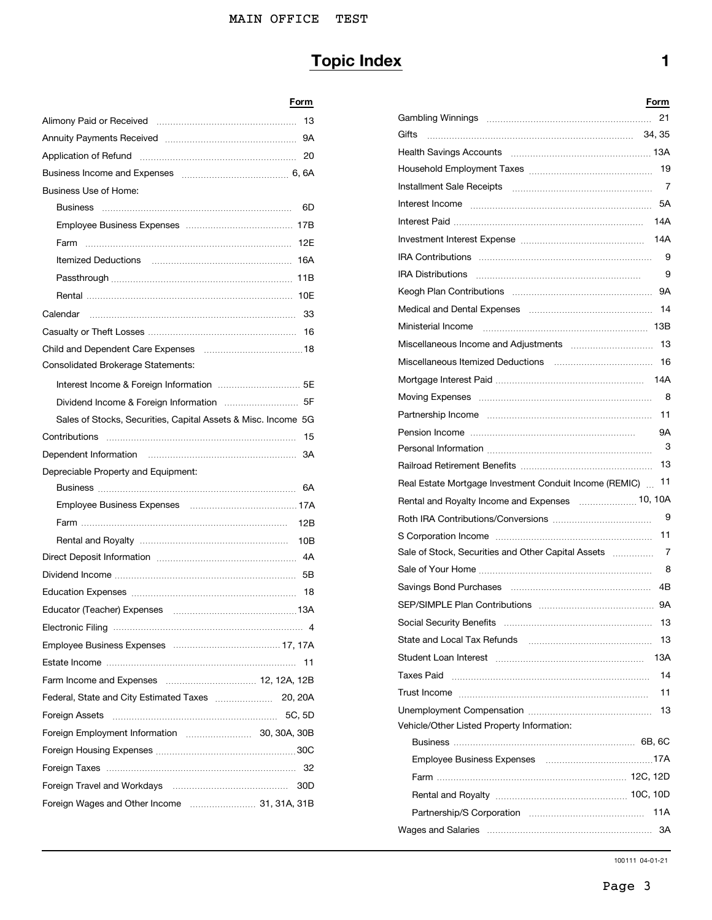### MAIN OFFICE TEST

# **Topic Index 1**

## **Form**

| Business Use of Home:                                         |                                                         |
|---------------------------------------------------------------|---------------------------------------------------------|
|                                                               |                                                         |
|                                                               |                                                         |
|                                                               |                                                         |
|                                                               |                                                         |
|                                                               |                                                         |
|                                                               |                                                         |
|                                                               |                                                         |
|                                                               |                                                         |
|                                                               |                                                         |
| Consolidated Brokerage Statements:                            |                                                         |
|                                                               |                                                         |
|                                                               |                                                         |
| Sales of Stocks, Securities, Capital Assets & Misc. Income 5G |                                                         |
|                                                               |                                                         |
|                                                               |                                                         |
| Depreciable Property and Equipment:                           |                                                         |
|                                                               | Real Estate Mortgage Investment Conduit Income (REMIC). |
|                                                               |                                                         |
|                                                               |                                                         |
|                                                               |                                                         |
|                                                               | Sale of Stock, Securities and Other Capital Assets      |
|                                                               |                                                         |
|                                                               |                                                         |
|                                                               |                                                         |
|                                                               |                                                         |
|                                                               |                                                         |
|                                                               |                                                         |
|                                                               |                                                         |
|                                                               |                                                         |
|                                                               |                                                         |
|                                                               | Vehicle/Other Listed Property Information:              |
|                                                               |                                                         |
|                                                               |                                                         |
|                                                               |                                                         |
|                                                               |                                                         |
|                                                               |                                                         |

|                                                               | Form |                                                            | Form |
|---------------------------------------------------------------|------|------------------------------------------------------------|------|
|                                                               |      |                                                            |      |
|                                                               |      |                                                            |      |
|                                                               |      |                                                            |      |
|                                                               |      |                                                            |      |
| Business Use of Home:                                         |      |                                                            | 7    |
|                                                               |      |                                                            |      |
|                                                               |      |                                                            |      |
|                                                               |      |                                                            |      |
|                                                               |      |                                                            |      |
|                                                               |      |                                                            | 9    |
|                                                               |      |                                                            |      |
| Calendar                                                      |      |                                                            |      |
|                                                               |      |                                                            |      |
|                                                               |      |                                                            |      |
| Consolidated Brokerage Statements:                            |      |                                                            |      |
|                                                               |      |                                                            |      |
|                                                               |      |                                                            |      |
| Sales of Stocks, Securities, Capital Assets & Misc. Income 5G |      |                                                            |      |
|                                                               |      |                                                            | 9A   |
|                                                               |      |                                                            | 3    |
|                                                               |      |                                                            |      |
| Depreciable Property and Equipment:                           |      | Real Estate Mortgage Investment Conduit Income (REMIC)  11 |      |
|                                                               |      |                                                            |      |
|                                                               |      |                                                            | - 9  |
|                                                               |      |                                                            |      |
|                                                               |      |                                                            |      |
|                                                               |      |                                                            |      |
|                                                               |      |                                                            |      |
|                                                               |      |                                                            |      |
|                                                               |      |                                                            |      |
|                                                               |      |                                                            |      |
|                                                               |      |                                                            |      |
|                                                               |      |                                                            |      |
|                                                               |      |                                                            | 11   |
|                                                               |      |                                                            |      |
| Foreign Assets …………………………………………………… 5C, 5D                    |      | Vehicle/Other Listed Property Information:                 |      |
|                                                               |      |                                                            |      |
|                                                               |      |                                                            |      |
|                                                               |      |                                                            |      |
|                                                               |      |                                                            |      |
| Foreign Wages and Other Income  31, 31A, 31B                  |      |                                                            |      |
|                                                               |      |                                                            |      |
|                                                               |      |                                                            |      |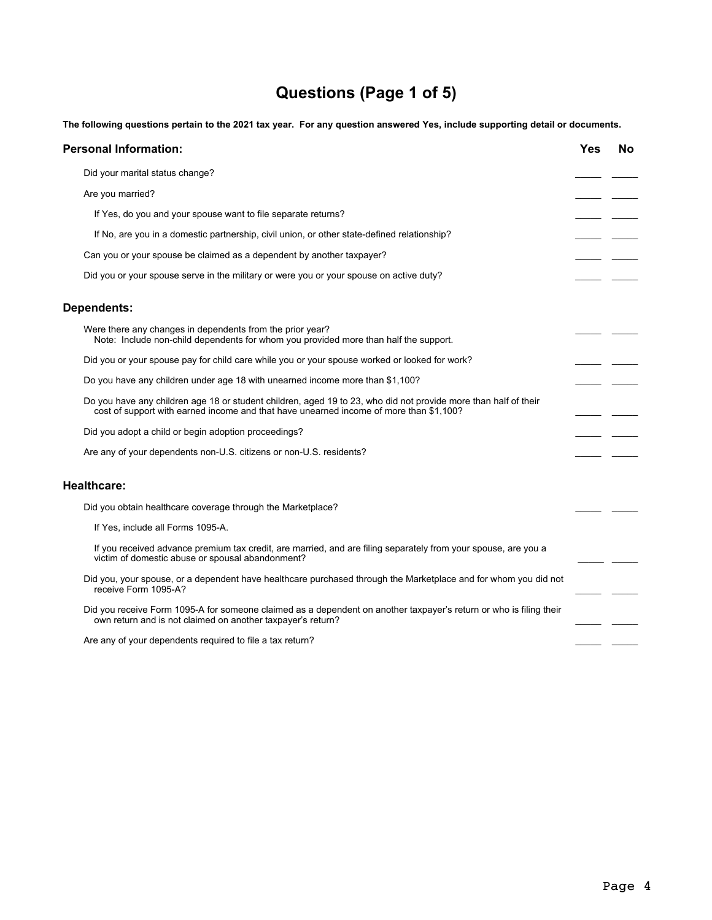# **Questions (Page 1 of 5)**

The following questions pertain to the 2021 tax year. For any question answered Yes, include supporting detail or documents.

| <b>Personal Information:</b>                                                                                                                                                                              | Yes | <b>No</b> |
|-----------------------------------------------------------------------------------------------------------------------------------------------------------------------------------------------------------|-----|-----------|
| Did your marital status change?                                                                                                                                                                           |     |           |
| Are you married?                                                                                                                                                                                          |     |           |
| If Yes, do you and your spouse want to file separate returns?                                                                                                                                             |     |           |
| If No, are you in a domestic partnership, civil union, or other state-defined relationship?                                                                                                               |     |           |
| Can you or your spouse be claimed as a dependent by another taxpayer?                                                                                                                                     |     |           |
| Did you or your spouse serve in the military or were you or your spouse on active duty?                                                                                                                   |     |           |
| <b>Dependents:</b>                                                                                                                                                                                        |     |           |
| Were there any changes in dependents from the prior year?<br>Note: Include non-child dependents for whom you provided more than half the support.                                                         |     |           |
| Did you or your spouse pay for child care while you or your spouse worked or looked for work?                                                                                                             |     |           |
| Do you have any children under age 18 with unearned income more than \$1,100?                                                                                                                             |     |           |
| Do you have any children age 18 or student children, aged 19 to 23, who did not provide more than half of their<br>cost of support with earned income and that have unearned income of more than \$1,100? |     |           |
| Did you adopt a child or begin adoption proceedings?                                                                                                                                                      |     |           |
| Are any of your dependents non-U.S. citizens or non-U.S. residents?                                                                                                                                       |     |           |
| <b>Healthcare:</b>                                                                                                                                                                                        |     |           |
| Did you obtain healthcare coverage through the Marketplace?                                                                                                                                               |     |           |
| If Yes, include all Forms 1095-A.                                                                                                                                                                         |     |           |
| If you received advance premium tax credit, are married, and are filing separately from your spouse, are you a<br>victim of domestic abuse or spousal abandonment?                                        |     |           |
| Did you, your spouse, or a dependent have healthcare purchased through the Marketplace and for whom you did not<br>receive Form 1095-A?                                                                   |     |           |
| Did you receive Form 1095-A for someone claimed as a dependent on another taxpayer's return or who is filing their<br>own return and is not claimed on another taxpayer's return?                         |     |           |
| Are any of your dependents required to file a tax return?                                                                                                                                                 |     |           |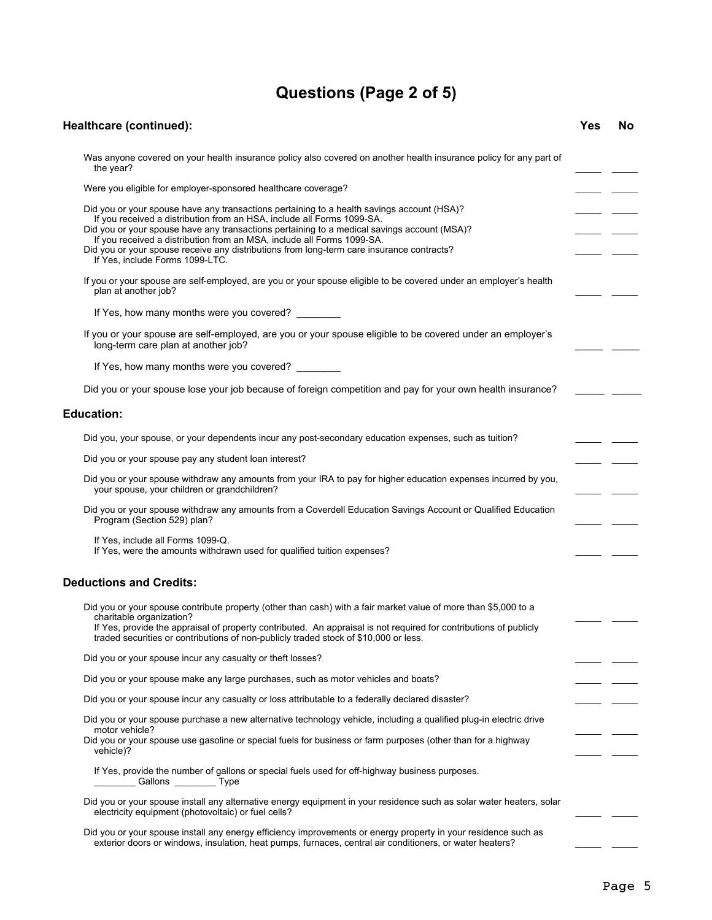# **Questions (Page 2 of 5)**

| Healthcare (continued):                                                                                                                                                                                                                                                                                                                                                                                                                                                       | Yes | No |
|-------------------------------------------------------------------------------------------------------------------------------------------------------------------------------------------------------------------------------------------------------------------------------------------------------------------------------------------------------------------------------------------------------------------------------------------------------------------------------|-----|----|
| Was anyone covered on your health insurance policy also covered on another health insurance policy for any part of<br>the year?                                                                                                                                                                                                                                                                                                                                               |     |    |
| Were you eligible for employer-sponsored healthcare coverage?                                                                                                                                                                                                                                                                                                                                                                                                                 |     |    |
| Did you or your spouse have any transactions pertaining to a health savings account (HSA)?<br>If you received a distribution from an HSA, include all Forms 1099-SA.<br>Did you or your spouse have any transactions pertaining to a medical savings account (MSA)?<br>If you received a distribution from an MSA, include all Forms 1099-SA.<br>Did you or your spouse receive any distributions from long-term care insurance contracts?<br>If Yes, include Forms 1099-LTC. |     |    |
| If you or your spouse are self-employed, are you or your spouse eligible to be covered under an employer's health<br>plan at another job?                                                                                                                                                                                                                                                                                                                                     |     |    |
| If Yes, how many months were you covered?                                                                                                                                                                                                                                                                                                                                                                                                                                     |     |    |
| If you or your spouse are self-employed, are you or your spouse eligible to be covered under an employer's<br>long-term care plan at another job?                                                                                                                                                                                                                                                                                                                             |     |    |
| If Yes, how many months were you covered?                                                                                                                                                                                                                                                                                                                                                                                                                                     |     |    |
| Did you or your spouse lose your job because of foreign competition and pay for your own health insurance?                                                                                                                                                                                                                                                                                                                                                                    |     |    |
| <b>Education:</b>                                                                                                                                                                                                                                                                                                                                                                                                                                                             |     |    |
| Did you, your spouse, or your dependents incur any post-secondary education expenses, such as tuition?                                                                                                                                                                                                                                                                                                                                                                        |     |    |
| Did you or your spouse pay any student loan interest?                                                                                                                                                                                                                                                                                                                                                                                                                         |     |    |
| Did you or your spouse withdraw any amounts from your IRA to pay for higher education expenses incurred by you,<br>your spouse, your children or grandchildren?                                                                                                                                                                                                                                                                                                               |     |    |
| Did you or your spouse withdraw any amounts from a Coverdell Education Savings Account or Qualified Education<br>Program (Section 529) plan?                                                                                                                                                                                                                                                                                                                                  |     |    |
| If Yes, include all Forms 1099-Q.<br>If Yes, were the amounts withdrawn used for qualified tuition expenses?                                                                                                                                                                                                                                                                                                                                                                  |     |    |
| <b>Deductions and Credits:</b>                                                                                                                                                                                                                                                                                                                                                                                                                                                |     |    |
| Did you or your spouse contribute property (other than cash) with a fair market value of more than \$5,000 to a<br>charitable organization?<br>If Yes, provide the appraisal of property contributed. An appraisal is not required for contributions of publicly                                                                                                                                                                                                              |     |    |
| traded securities or contributions of non-publicly traded stock of \$10,000 or less.<br>Did you or your spouse incur any casualty or theft losses?                                                                                                                                                                                                                                                                                                                            |     |    |
| Did you or your spouse make any large purchases, such as motor vehicles and boats?                                                                                                                                                                                                                                                                                                                                                                                            |     |    |
| Did you or your spouse incur any casualty or loss attributable to a federally declared disaster?                                                                                                                                                                                                                                                                                                                                                                              |     |    |
| Did you or your spouse purchase a new alternative technology vehicle, including a qualified plug-in electric drive                                                                                                                                                                                                                                                                                                                                                            |     |    |
| motor vehicle?<br>Did you or your spouse use gasoline or special fuels for business or farm purposes (other than for a highway<br>vehicle)?                                                                                                                                                                                                                                                                                                                                   |     |    |
| If Yes, provide the number of gallons or special fuels used for off-highway business purposes.<br>Callons __________ Type                                                                                                                                                                                                                                                                                                                                                     |     |    |
| Did you or your spouse install any alternative energy equipment in your residence such as solar water heaters, solar<br>electricity equipment (photovoltaic) or fuel cells?                                                                                                                                                                                                                                                                                                   |     |    |
| Did you or your spouse install any energy efficiency improvements or energy property in your residence such as<br>exterior doors or windows, insulation, heat pumps, furnaces, central air conditioners, or water heaters?                                                                                                                                                                                                                                                    |     |    |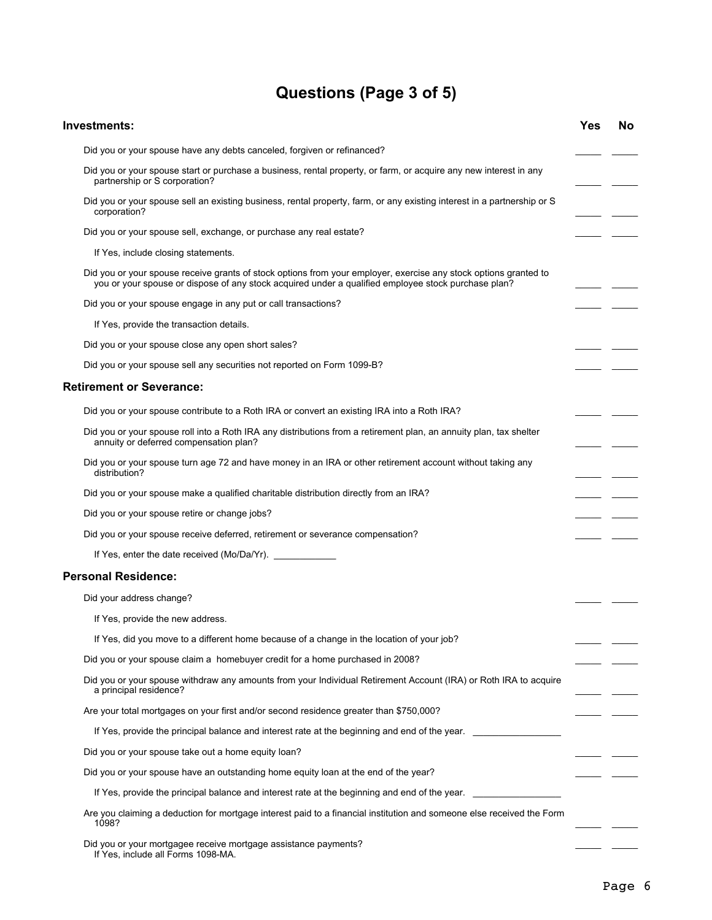# **Questions (Page 3 of 5)**

| Investments:                                                                                                                                                                                                            | Yes | No. |
|-------------------------------------------------------------------------------------------------------------------------------------------------------------------------------------------------------------------------|-----|-----|
| Did you or your spouse have any debts canceled, forgiven or refinanced?                                                                                                                                                 |     |     |
| Did you or your spouse start or purchase a business, rental property, or farm, or acquire any new interest in any<br>partnership or S corporation?                                                                      |     |     |
| Did you or your spouse sell an existing business, rental property, farm, or any existing interest in a partnership or S<br>corporation?                                                                                 |     |     |
| Did you or your spouse sell, exchange, or purchase any real estate?                                                                                                                                                     |     |     |
| If Yes, include closing statements.                                                                                                                                                                                     |     |     |
| Did you or your spouse receive grants of stock options from your employer, exercise any stock options granted to<br>you or your spouse or dispose of any stock acquired under a qualified employee stock purchase plan? |     |     |
| Did you or your spouse engage in any put or call transactions?                                                                                                                                                          |     |     |
| If Yes, provide the transaction details.                                                                                                                                                                                |     |     |
| Did you or your spouse close any open short sales?                                                                                                                                                                      |     |     |
| Did you or your spouse sell any securities not reported on Form 1099-B?                                                                                                                                                 |     |     |
| <b>Retirement or Severance:</b>                                                                                                                                                                                         |     |     |
| Did you or your spouse contribute to a Roth IRA or convert an existing IRA into a Roth IRA?                                                                                                                             |     |     |
| Did you or your spouse roll into a Roth IRA any distributions from a retirement plan, an annuity plan, tax shelter<br>annuity or deferred compensation plan?                                                            |     |     |
| Did you or your spouse turn age 72 and have money in an IRA or other retirement account without taking any<br>distribution?                                                                                             |     |     |
| Did you or your spouse make a qualified charitable distribution directly from an IRA?                                                                                                                                   |     |     |
| Did you or your spouse retire or change jobs?                                                                                                                                                                           |     |     |
| Did you or your spouse receive deferred, retirement or severance compensation?                                                                                                                                          |     |     |
|                                                                                                                                                                                                                         |     |     |
| <b>Personal Residence:</b>                                                                                                                                                                                              |     |     |
| Did your address change?                                                                                                                                                                                                |     |     |
| If Yes, provide the new address.                                                                                                                                                                                        |     |     |
| If Yes, did you move to a different home because of a change in the location of your job?                                                                                                                               |     |     |
| Did you or your spouse claim a homebuyer credit for a home purchased in 2008?                                                                                                                                           |     |     |
| Did you or your spouse withdraw any amounts from your Individual Retirement Account (IRA) or Roth IRA to acquire<br>a principal residence?                                                                              |     |     |
| Are your total mortgages on your first and/or second residence greater than \$750,000?                                                                                                                                  |     |     |
| If Yes, provide the principal balance and interest rate at the beginning and end of the year.                                                                                                                           |     |     |
| Did you or your spouse take out a home equity loan?                                                                                                                                                                     |     |     |
| Did you or your spouse have an outstanding home equity loan at the end of the year?                                                                                                                                     |     |     |
| If Yes, provide the principal balance and interest rate at the beginning and end of the year.                                                                                                                           |     |     |
| Are you claiming a deduction for mortgage interest paid to a financial institution and someone else received the Form<br>1098?                                                                                          |     |     |
| Did you or your mortgagee receive mortgage assistance payments?<br>If Yes, include all Forms 1098-MA.                                                                                                                   |     |     |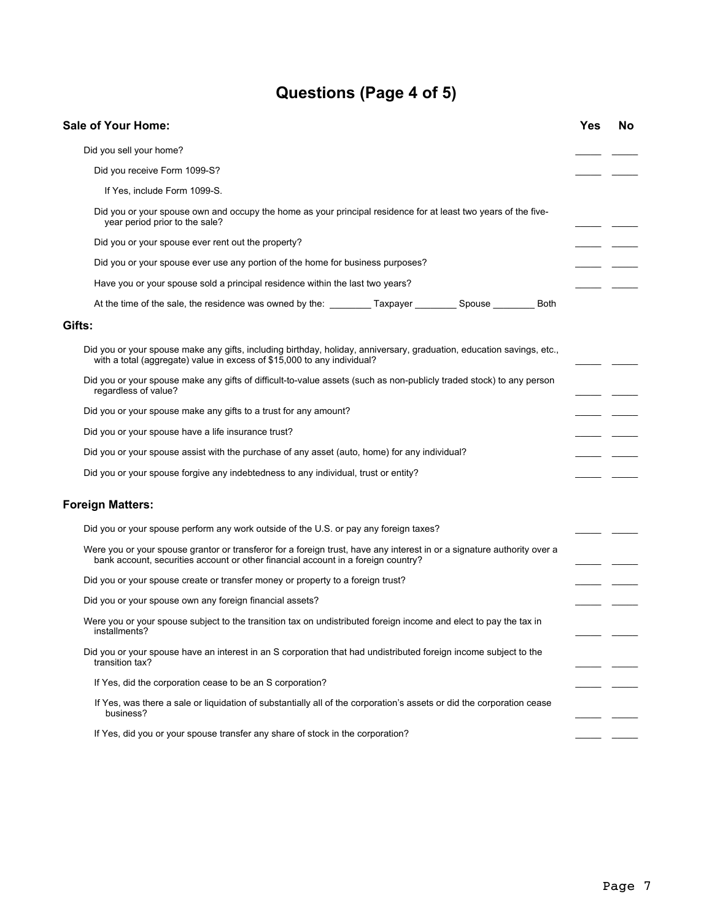# **Questions (Page 4 of 5)**

| <b>Sale of Your Home:</b>                                                                                                                                                                                    | Yes | No |
|--------------------------------------------------------------------------------------------------------------------------------------------------------------------------------------------------------------|-----|----|
| Did you sell your home?                                                                                                                                                                                      |     |    |
| Did you receive Form 1099-S?                                                                                                                                                                                 |     |    |
| If Yes, include Form 1099-S.                                                                                                                                                                                 |     |    |
| Did you or your spouse own and occupy the home as your principal residence for at least two years of the five-<br>year period prior to the sale?                                                             |     |    |
| Did you or your spouse ever rent out the property?                                                                                                                                                           |     |    |
| Did you or your spouse ever use any portion of the home for business purposes?                                                                                                                               |     |    |
| Have you or your spouse sold a principal residence within the last two years?                                                                                                                                |     |    |
|                                                                                                                                                                                                              |     |    |
| Gifts:                                                                                                                                                                                                       |     |    |
| Did you or your spouse make any gifts, including birthday, holiday, anniversary, graduation, education savings, etc.,<br>with a total (aggregate) value in excess of \$15,000 to any individual?             |     |    |
| Did you or your spouse make any gifts of difficult-to-value assets (such as non-publicly traded stock) to any person<br>regardless of value?                                                                 |     |    |
| Did you or your spouse make any gifts to a trust for any amount?                                                                                                                                             |     |    |
| Did you or your spouse have a life insurance trust?                                                                                                                                                          |     |    |
| Did you or your spouse assist with the purchase of any asset (auto, home) for any individual?                                                                                                                |     |    |
| Did you or your spouse forgive any indebtedness to any individual, trust or entity?                                                                                                                          |     |    |
| <b>Foreign Matters:</b>                                                                                                                                                                                      |     |    |
| Did you or your spouse perform any work outside of the U.S. or pay any foreign taxes?                                                                                                                        |     |    |
| Were you or your spouse grantor or transferor for a foreign trust, have any interest in or a signature authority over a<br>bank account, securities account or other financial account in a foreign country? |     |    |
| Did you or your spouse create or transfer money or property to a foreign trust?                                                                                                                              |     |    |
| Did you or your spouse own any foreign financial assets?                                                                                                                                                     |     |    |
| Were you or your spouse subject to the transition tax on undistributed foreign income and elect to pay the tax in<br>installments?                                                                           |     |    |
| Did you or your spouse have an interest in an S corporation that had undistributed foreign income subject to the<br>transition tax?                                                                          |     |    |
| If Yes, did the corporation cease to be an S corporation?                                                                                                                                                    |     |    |
| If Yes, was there a sale or liquidation of substantially all of the corporation's assets or did the corporation cease<br>business?                                                                           |     |    |
| If Yes, did you or your spouse transfer any share of stock in the corporation?                                                                                                                               |     |    |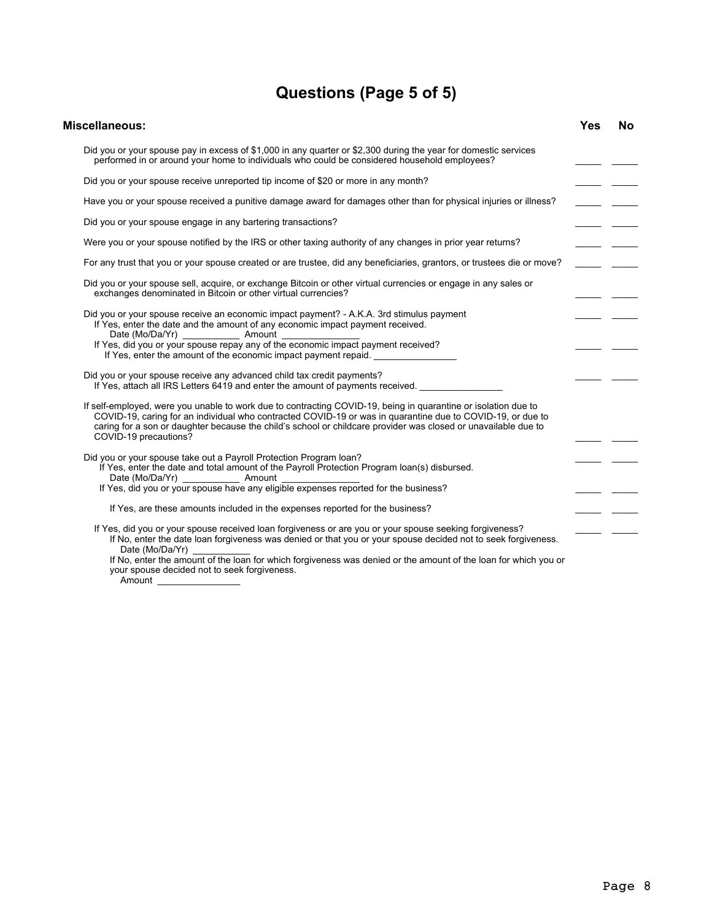# **Questions (Page 5 of 5)**

| Miscellaneous:                                                                                                                                                                                                                                                                                                                                                          | Yes | No |
|-------------------------------------------------------------------------------------------------------------------------------------------------------------------------------------------------------------------------------------------------------------------------------------------------------------------------------------------------------------------------|-----|----|
| Did you or your spouse pay in excess of \$1,000 in any quarter or \$2,300 during the year for domestic services<br>performed in or around your home to individuals who could be considered household employees?                                                                                                                                                         |     |    |
| Did you or your spouse receive unreported tip income of \$20 or more in any month?                                                                                                                                                                                                                                                                                      |     |    |
| Have you or your spouse received a punitive damage award for damages other than for physical injuries or illness?                                                                                                                                                                                                                                                       |     |    |
| Did you or your spouse engage in any bartering transactions?                                                                                                                                                                                                                                                                                                            |     |    |
| Were you or your spouse notified by the IRS or other taxing authority of any changes in prior year returns?                                                                                                                                                                                                                                                             |     |    |
| For any trust that you or your spouse created or are trustee, did any beneficiaries, grantors, or trustees die or move?                                                                                                                                                                                                                                                 |     |    |
| Did you or your spouse sell, acquire, or exchange Bitcoin or other virtual currencies or engage in any sales or<br>exchanges denominated in Bitcoin or other virtual currencies?                                                                                                                                                                                        |     |    |
| Did you or your spouse receive an economic impact payment? - A.K.A. 3rd stimulus payment<br>If Yes, enter the date and the amount of any economic impact payment received.<br>If Yes, enter the amount of the economic impact payment repaid. ________________                                                                                                          |     |    |
| Did you or your spouse receive any advanced child tax credit payments?<br>If Yes, attach all IRS Letters 6419 and enter the amount of payments received.                                                                                                                                                                                                                |     |    |
| If self-employed, were you unable to work due to contracting COVID-19, being in quarantine or isolation due to<br>COVID-19, caring for an individual who contracted COVID-19 or was in quarantine due to COVID-19, or due to<br>caring for a son or daughter because the child's school or childcare provider was closed or unavailable due to<br>COVID-19 precautions? |     |    |
| Did you or your spouse take out a Payroll Protection Program Ioan?<br>If Yes, enter the date and total amount of the Payroll Protection Program loan(s) disbursed.<br>If Yes, did you or your spouse have any eligible expenses reported for the business?                                                                                                              |     |    |
| If Yes, are these amounts included in the expenses reported for the business?                                                                                                                                                                                                                                                                                           |     |    |
| If Yes, did you or your spouse received loan forgiveness or are you or your spouse seeking forgiveness?<br>If No, enter the date loan forgiveness was denied or that you or your spouse decided not to seek forgiveness.<br>Date (Mo/Da/Yr)                                                                                                                             |     |    |
| If No, enter the amount of the loan for which forgiveness was denied or the amount of the loan for which you or                                                                                                                                                                                                                                                         |     |    |

your spouse decided not to seek forgiveness. Amount **Amount**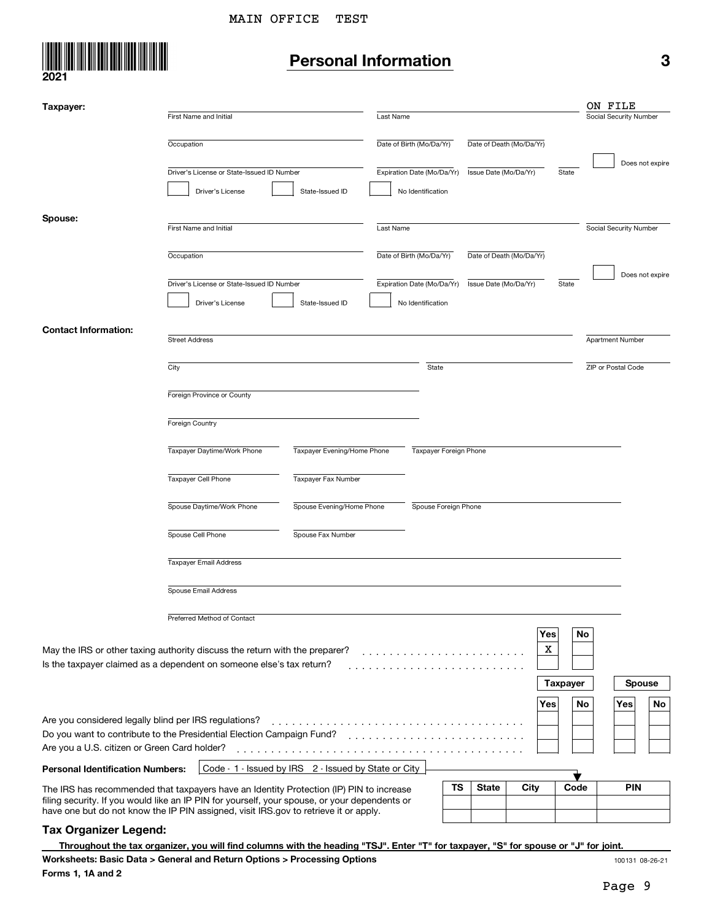

# **Personal Information 3**

| Taxpayer:                                             |                                                                                                                                                                                       |                             |                            |    |                       |                          |                 | ON FILE                |
|-------------------------------------------------------|---------------------------------------------------------------------------------------------------------------------------------------------------------------------------------------|-----------------------------|----------------------------|----|-----------------------|--------------------------|-----------------|------------------------|
|                                                       | First Name and Initial                                                                                                                                                                |                             | Last Name                  |    |                       |                          |                 | Social Security Number |
|                                                       | Occupation                                                                                                                                                                            |                             | Date of Birth (Mo/Da/Yr)   |    |                       | Date of Death (Mo/Da/Yr) |                 |                        |
|                                                       |                                                                                                                                                                                       |                             |                            |    |                       |                          |                 | Does not expire        |
|                                                       | Driver's License or State-Issued ID Number                                                                                                                                            |                             | Expiration Date (Mo/Da/Yr) |    | Issue Date (Mo/Da/Yr) |                          | State           |                        |
|                                                       | Driver's License                                                                                                                                                                      | State-Issued ID             | No Identification          |    |                       |                          |                 |                        |
| Spouse:                                               |                                                                                                                                                                                       |                             |                            |    |                       |                          |                 |                        |
|                                                       | First Name and Initial                                                                                                                                                                |                             | Last Name                  |    |                       |                          |                 | Social Security Number |
|                                                       |                                                                                                                                                                                       |                             |                            |    |                       |                          |                 |                        |
|                                                       | Occupation                                                                                                                                                                            |                             | Date of Birth (Mo/Da/Yr)   |    |                       | Date of Death (Mo/Da/Yr) |                 |                        |
|                                                       | Driver's License or State-Issued ID Number                                                                                                                                            |                             | Expiration Date (Mo/Da/Yr) |    | Issue Date (Mo/Da/Yr) |                          | State           | Does not expire        |
|                                                       | Driver's License                                                                                                                                                                      | State-Issued ID             | No Identification          |    |                       |                          |                 |                        |
|                                                       |                                                                                                                                                                                       |                             |                            |    |                       |                          |                 |                        |
| <b>Contact Information:</b>                           | <b>Street Address</b>                                                                                                                                                                 |                             |                            |    |                       |                          |                 | Apartment Number       |
|                                                       |                                                                                                                                                                                       |                             |                            |    |                       |                          |                 |                        |
|                                                       | City                                                                                                                                                                                  |                             | State                      |    |                       |                          |                 | ZIP or Postal Code     |
|                                                       |                                                                                                                                                                                       |                             |                            |    |                       |                          |                 |                        |
|                                                       | Foreign Province or County                                                                                                                                                            |                             |                            |    |                       |                          |                 |                        |
|                                                       | Foreign Country                                                                                                                                                                       |                             |                            |    |                       |                          |                 |                        |
|                                                       |                                                                                                                                                                                       |                             |                            |    |                       |                          |                 |                        |
|                                                       | Taxpayer Daytime/Work Phone                                                                                                                                                           | Taxpayer Evening/Home Phone | Taxpayer Foreign Phone     |    |                       |                          |                 |                        |
|                                                       | Taxpayer Cell Phone                                                                                                                                                                   | Taxpayer Fax Number         |                            |    |                       |                          |                 |                        |
|                                                       | Spouse Daytime/Work Phone                                                                                                                                                             | Spouse Evening/Home Phone   | Spouse Foreign Phone       |    |                       |                          |                 |                        |
|                                                       | Spouse Cell Phone                                                                                                                                                                     | Spouse Fax Number           |                            |    |                       |                          |                 |                        |
|                                                       | Taxpayer Email Address                                                                                                                                                                |                             |                            |    |                       |                          |                 |                        |
|                                                       | Spouse Email Address                                                                                                                                                                  |                             |                            |    |                       |                          |                 |                        |
|                                                       |                                                                                                                                                                                       |                             |                            |    |                       |                          |                 |                        |
|                                                       | Preferred Method of Contact                                                                                                                                                           |                             |                            |    |                       |                          |                 |                        |
|                                                       |                                                                                                                                                                                       |                             |                            |    |                       | Yes                      |                 | No                     |
|                                                       | May the IRS or other taxing authority discuss the return with the preparer?<br>Is the taxpayer claimed as a dependent on someone else's tax return?                                   |                             | .                          |    |                       | X                        |                 |                        |
|                                                       |                                                                                                                                                                                       |                             | .                          |    |                       |                          |                 |                        |
|                                                       |                                                                                                                                                                                       |                             |                            |    |                       |                          | <b>Taxpayer</b> | <b>Spouse</b>          |
|                                                       |                                                                                                                                                                                       |                             |                            |    |                       | Yes                      |                 | Yes<br>No<br>No        |
| Are you considered legally blind per IRS regulations? |                                                                                                                                                                                       |                             |                            |    |                       |                          |                 |                        |
|                                                       | Do you want to contribute to the Presidential Election Campaign Fund?                                                                                                                 |                             |                            |    |                       |                          |                 |                        |
| Are you a U.S. citizen or Green Card holder?          |                                                                                                                                                                                       |                             |                            |    |                       |                          |                 |                        |
| <b>Personal Identification Numbers:</b>               | Code - 1 - Issued by IRS 2 - Issued by State or City                                                                                                                                  |                             |                            |    |                       |                          |                 |                        |
|                                                       | The IRS has recommended that taxpayers have an Identity Protection (IP) PIN to increase                                                                                               |                             |                            | ΤS | <b>State</b>          | City                     | Code            | <b>PIN</b>             |
|                                                       | filing security. If you would like an IP PIN for yourself, your spouse, or your dependents or<br>have one but do not know the IP PIN assigned, visit IRS.gov to retrieve it or apply. |                             |                            |    |                       |                          |                 |                        |

#### **Tax Organizer Legend:**

**Throughout the tax organizer, you will find columns with the heading "TSJ". Enter "T" for taxpayer, "S" for spouse or "J" for joint.**

100131 08-26-21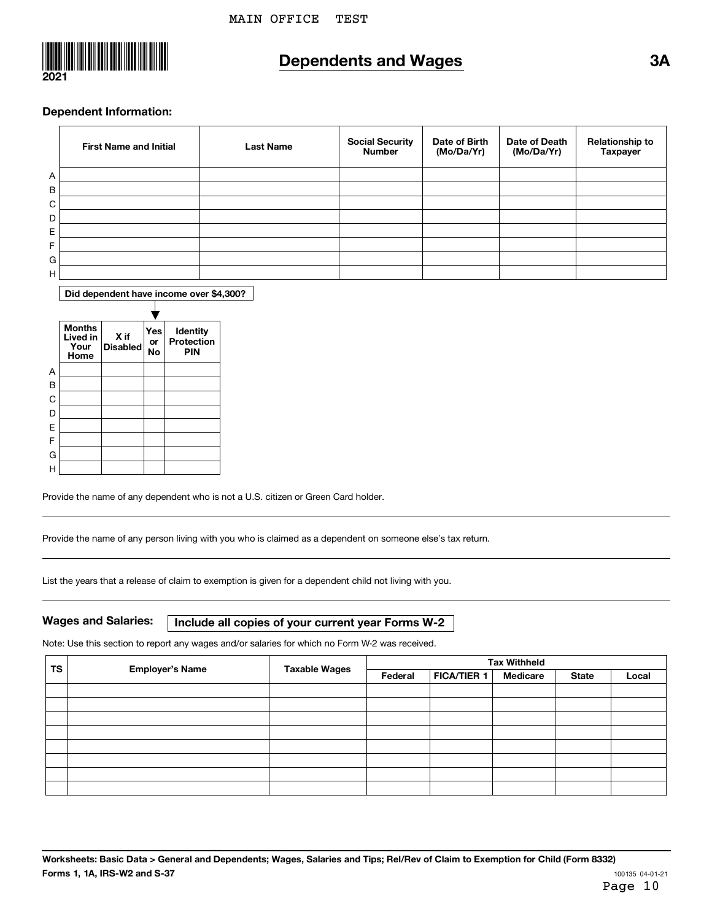

### **Dependents and Wages 3A**

#### **Dependent Information:**

|   | <b>First Name and Initial</b> | <b>Last Name</b> | <b>Social Security</b><br><b>Number</b> | Date of Birth<br>(Mo/Da/Yr) | Date of Death<br>(Mo/Da/Yr) | <b>Relationship to</b><br>Taxpayer |
|---|-------------------------------|------------------|-----------------------------------------|-----------------------------|-----------------------------|------------------------------------|
| A |                               |                  |                                         |                             |                             |                                    |
| B |                               |                  |                                         |                             |                             |                                    |
| C |                               |                  |                                         |                             |                             |                                    |
| D |                               |                  |                                         |                             |                             |                                    |
| Е |                               |                  |                                         |                             |                             |                                    |
| F |                               |                  |                                         |                             |                             |                                    |
| G |                               |                  |                                         |                             |                             |                                    |
| H |                               |                  |                                         |                             |                             |                                    |

**Did dependent have income over \$4,300?**



Provide the name of any dependent who is not a U.S. citizen or Green Card holder.

Provide the name of any person living with you who is claimed as a dependent on someone else's tax return.

List the years that a release of claim to exemption is given for a dependent child not living with you.

**Wages and Salaries: Include all copies of your current year Forms W-2**

Note: Use this section to report any wages and/or salaries for which no Form W-2 was received.

| <b>TS</b> | <b>Employer's Name</b> | <b>Taxable Wages</b> | <b>Tax Withheld</b> |                    |          |              |       |
|-----------|------------------------|----------------------|---------------------|--------------------|----------|--------------|-------|
|           |                        |                      | Federal             | <b>FICA/TIER 1</b> | Medicare | <b>State</b> | Local |
|           |                        |                      |                     |                    |          |              |       |
|           |                        |                      |                     |                    |          |              |       |
|           |                        |                      |                     |                    |          |              |       |
|           |                        |                      |                     |                    |          |              |       |
|           |                        |                      |                     |                    |          |              |       |
|           |                        |                      |                     |                    |          |              |       |
|           |                        |                      |                     |                    |          |              |       |
|           |                        |                      |                     |                    |          |              |       |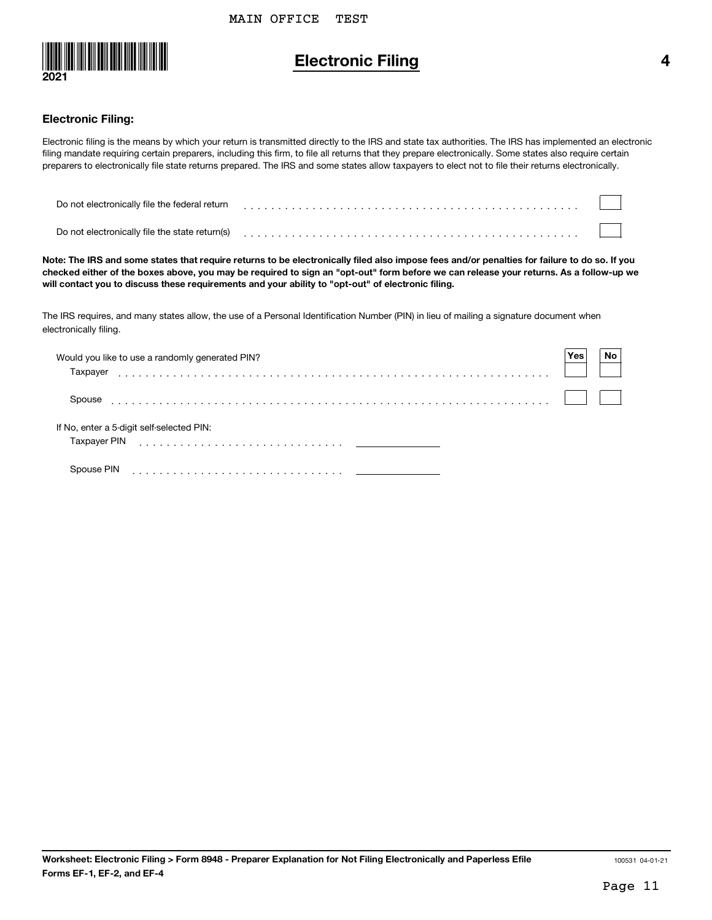

### **Electronic Filing 4**

#### **Electronic Filing:**

Electronic filing is the means by which your return is transmitted directly to the IRS and state tax authorities. The IRS has implemented an electronic filing mandate requiring certain preparers, including this firm, to file all returns that they prepare electronically. Some states also require certain preparers to electronically file state returns prepared. The IRS and some states allow taxpayers to elect not to file their returns electronically.

| Do not electronically file the federal return  |  |
|------------------------------------------------|--|
| Do not electronically file the state return(s) |  |

**Note: The IRS and some states that require returns to be electronically filed also impose fees and/or penalties for failure to do so. If you checked either of the boxes above, you may be required to sign an "opt-out" form before we can release your returns. As a follow-up we will contact you to discuss these requirements and your ability to "opt-out" of electronic filing.**

The IRS requires, and many states allow, the use of a Personal Identification Number (PIN) in lieu of mailing a signature document when electronically filing.

| Would you like to use a randomly generated PIN?<br>Taxpayer | Yes | No |
|-------------------------------------------------------------|-----|----|
| Spouse                                                      |     |    |
| If No, enter a 5-digit self-selected PIN:<br>Taxpayer PIN   |     |    |
| Spouse PIN                                                  |     |    |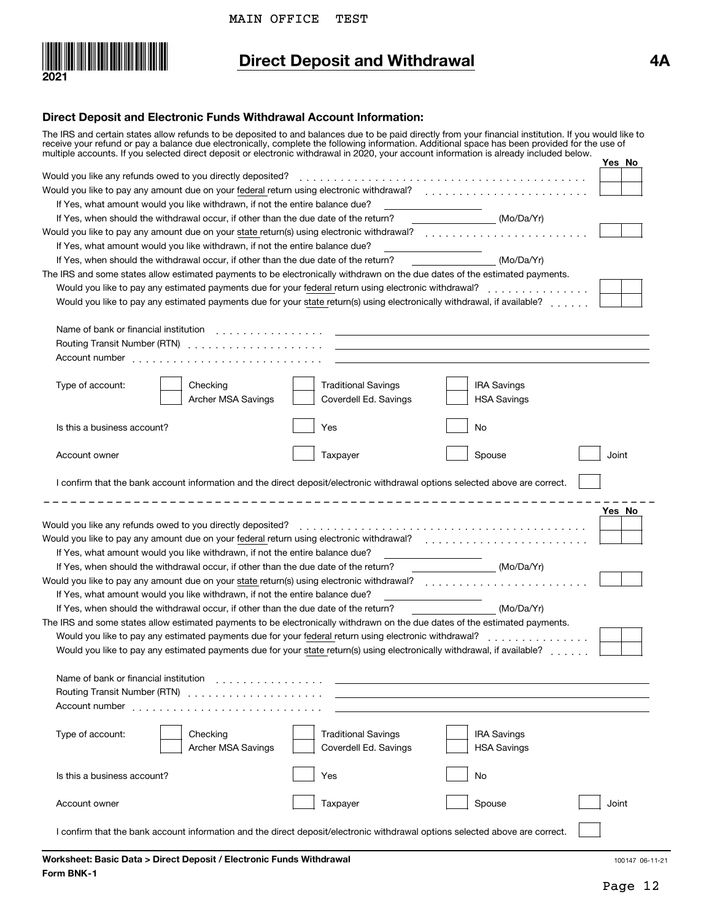

# **Direct Deposit and Withdrawal 4A**

#### **Direct Deposit and Electronic Funds Withdrawal Account Information:**

|                                       | The IRS and certain states allow refunds to be deposited to and balances due to be paid directly from your financial institution. If you would like to<br>receive your refund or pay a balance due electronically, complete the following information. Additional space has been provided for the use of<br>multiple accounts. If you selected direct deposit or electronic withdrawal in 2020, your account information is already included below.              |          |                                                     |                                          |        |
|---------------------------------------|------------------------------------------------------------------------------------------------------------------------------------------------------------------------------------------------------------------------------------------------------------------------------------------------------------------------------------------------------------------------------------------------------------------------------------------------------------------|----------|-----------------------------------------------------|------------------------------------------|--------|
|                                       |                                                                                                                                                                                                                                                                                                                                                                                                                                                                  |          |                                                     |                                          | Yes No |
|                                       | Would you like to pay any amount due on your federal return using electronic withdrawal?<br>                                                                                                                                                                                                                                                                                                                                                                     |          |                                                     |                                          |        |
|                                       | If Yes, what amount would you like withdrawn, if not the entire balance due?                                                                                                                                                                                                                                                                                                                                                                                     |          |                                                     |                                          |        |
|                                       |                                                                                                                                                                                                                                                                                                                                                                                                                                                                  |          |                                                     |                                          |        |
|                                       | If Yes, when should the withdrawal occur, if other than the due date of the return?                                                                                                                                                                                                                                                                                                                                                                              |          |                                                     | (Mo/Da/Yr)                               |        |
|                                       | Would you like to pay any amount due on your state return(s) using electronic withdrawal?<br>                                                                                                                                                                                                                                                                                                                                                                    |          |                                                     |                                          |        |
|                                       | If Yes, what amount would you like withdrawn, if not the entire balance due?                                                                                                                                                                                                                                                                                                                                                                                     |          |                                                     |                                          |        |
|                                       | If Yes, when should the withdrawal occur, if other than the due date of the return?                                                                                                                                                                                                                                                                                                                                                                              |          |                                                     | (Mo/Da/Yr)                               |        |
|                                       | The IRS and some states allow estimated payments to be electronically withdrawn on the due dates of the estimated payments.                                                                                                                                                                                                                                                                                                                                      |          |                                                     |                                          |        |
|                                       | Would you like to pay any estimated payments due for your federal return using electronic withdrawal?<br><br>Would you like to pay any estimated payments due for your state return(s) using electronically withdrawal, if available?                                                                                                                                                                                                                            |          |                                                     |                                          |        |
|                                       | Name of bank or financial institution entitled by the set of the set of the set of the set of the set of the set of the set of the set of the set of the set of the set of the set of the set of the set of the set of the set<br>Routing Transit Number (RTN) (etc.) and a series of the contract of the contract of the contract of the contract of the contract of the contract of the contract of the contract of the contract of the contract of the contra |          |                                                     |                                          |        |
|                                       |                                                                                                                                                                                                                                                                                                                                                                                                                                                                  |          |                                                     |                                          |        |
| Type of account:                      | Checking<br>Archer MSA Savings                                                                                                                                                                                                                                                                                                                                                                                                                                   |          | <b>Traditional Savings</b><br>Coverdell Ed. Savings | <b>IRA Savings</b><br><b>HSA Savings</b> |        |
| Is this a business account?           |                                                                                                                                                                                                                                                                                                                                                                                                                                                                  | Yes      |                                                     | No                                       |        |
| Account owner                         |                                                                                                                                                                                                                                                                                                                                                                                                                                                                  | Taxpayer |                                                     | Spouse                                   | Joint  |
|                                       | I confirm that the bank account information and the direct deposit/electronic withdrawal options selected above are correct.                                                                                                                                                                                                                                                                                                                                     |          |                                                     |                                          | Yes No |
|                                       | Would you like to pay any amount due on your federal return using electronic withdrawal?<br>                                                                                                                                                                                                                                                                                                                                                                     |          |                                                     |                                          |        |
|                                       | If Yes, what amount would you like withdrawn, if not the entire balance due?                                                                                                                                                                                                                                                                                                                                                                                     |          |                                                     |                                          |        |
|                                       | If Yes, when should the withdrawal occur, if other than the due date of the return?                                                                                                                                                                                                                                                                                                                                                                              |          |                                                     | (Mo/Da/Yr)                               |        |
|                                       | Would you like to pay any amount due on your state return(s) using electronic withdrawal?                                                                                                                                                                                                                                                                                                                                                                        |          |                                                     |                                          |        |
|                                       | If Yes, what amount would you like withdrawn, if not the entire balance due?                                                                                                                                                                                                                                                                                                                                                                                     |          |                                                     |                                          |        |
|                                       | If Yes, when should the withdrawal occur, if other than the due date of the return?                                                                                                                                                                                                                                                                                                                                                                              |          |                                                     | (Mo/Da/Yr)                               |        |
|                                       | The IRS and some states allow estimated payments to be electronically withdrawn on the due dates of the estimated payments.                                                                                                                                                                                                                                                                                                                                      |          |                                                     |                                          |        |
|                                       | Would you like to pay any estimated payments due for your federal return using electronic withdrawal?                                                                                                                                                                                                                                                                                                                                                            |          |                                                     |                                          |        |
|                                       | Would you like to pay any estimated payments due for your state return(s) using electronically withdrawal, if available?                                                                                                                                                                                                                                                                                                                                         |          |                                                     |                                          |        |
| Name of bank or financial institution |                                                                                                                                                                                                                                                                                                                                                                                                                                                                  |          |                                                     |                                          |        |
| Type of account:                      | Checking<br>Archer MSA Savings                                                                                                                                                                                                                                                                                                                                                                                                                                   |          | <b>Traditional Savings</b><br>Coverdell Ed. Savings | <b>IRA Savings</b><br><b>HSA Savings</b> |        |
| Is this a business account?           |                                                                                                                                                                                                                                                                                                                                                                                                                                                                  | Yes      |                                                     | No                                       |        |
| Account owner                         |                                                                                                                                                                                                                                                                                                                                                                                                                                                                  | Taxpayer |                                                     | Spouse                                   | Joint  |
|                                       | I confirm that the bank account information and the direct deposit/electronic withdrawal options selected above are correct.                                                                                                                                                                                                                                                                                                                                     |          |                                                     |                                          |        |

100147 06-11-21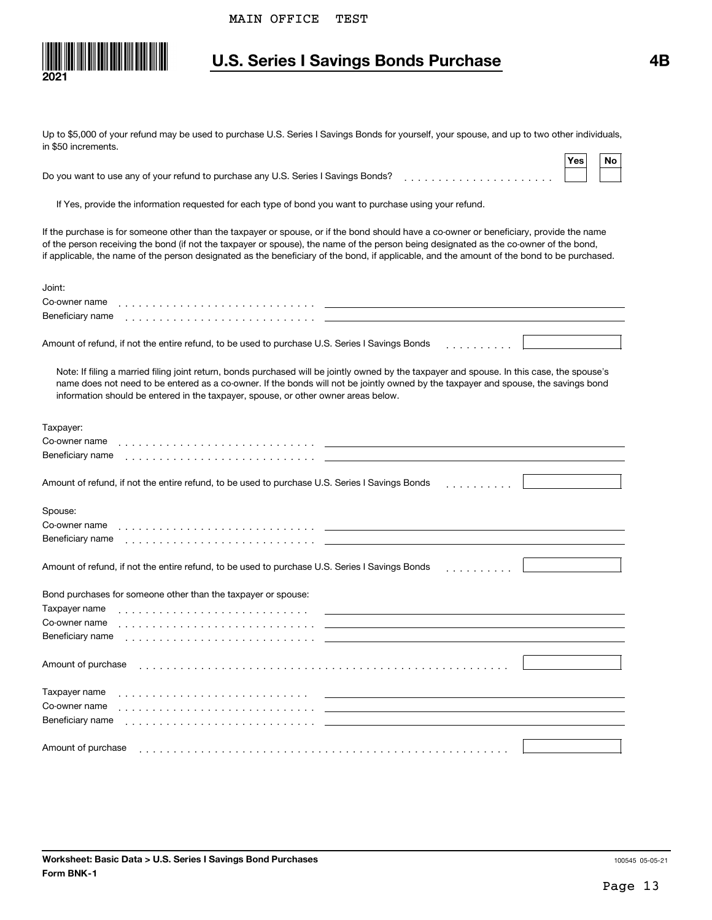

## **U.S. Series I Savings Bonds Purchase 4B**

Up to \$5,000 of your refund may be used to purchase U.S. Series I Savings Bonds for yourself, your spouse, and up to two other individuals, in \$50 increments.

|                                                                                    | ˈYes⊩ | <b>No</b> |  |
|------------------------------------------------------------------------------------|-------|-----------|--|
| Do you want to use any of your refund to purchase any U.S. Series I Savings Bonds? |       |           |  |

If Yes, provide the information requested for each type of bond you want to purchase using your refund.

If the purchase is for someone other than the taxpayer or spouse, or if the bond should have a co-owner or beneficiary, provide the name of the person receiving the bond (if not the taxpayer or spouse), the name of the person being designated as the co-owner of the bond, if applicable, the name of the person designated as the beneficiary of the bond, if applicable, and the amount of the bond to be purchased.

| Joint:<br>Co-owner name                                                                                                                                                                                                                                                                                                                                                  |
|--------------------------------------------------------------------------------------------------------------------------------------------------------------------------------------------------------------------------------------------------------------------------------------------------------------------------------------------------------------------------|
| Beneficiary name                                                                                                                                                                                                                                                                                                                                                         |
| Amount of refund, if not the entire refund, to be used to purchase U.S. Series I Savings Bonds                                                                                                                                                                                                                                                                           |
| Note: If filing a married filing joint return, bonds purchased will be jointly owned by the taxpayer and spouse. In this case, the spouse's<br>name does not need to be entered as a co-owner. If the bonds will not be jointly owned by the taxpayer and spouse, the savings bond<br>information should be entered in the taxpayer, spouse, or other owner areas below. |
| Taxpayer:                                                                                                                                                                                                                                                                                                                                                                |
| Co-owner name                                                                                                                                                                                                                                                                                                                                                            |
| Beneficiary name                                                                                                                                                                                                                                                                                                                                                         |
|                                                                                                                                                                                                                                                                                                                                                                          |
| Amount of refund, if not the entire refund, to be used to purchase U.S. Series I Savings Bonds                                                                                                                                                                                                                                                                           |
| Spouse:                                                                                                                                                                                                                                                                                                                                                                  |
| Co-owner name                                                                                                                                                                                                                                                                                                                                                            |
| Beneficiary name                                                                                                                                                                                                                                                                                                                                                         |
|                                                                                                                                                                                                                                                                                                                                                                          |
| Amount of refund, if not the entire refund, to be used to purchase U.S. Series I Savings Bonds                                                                                                                                                                                                                                                                           |
| Bond purchases for someone other than the taxpayer or spouse:                                                                                                                                                                                                                                                                                                            |
| Taxpayer name                                                                                                                                                                                                                                                                                                                                                            |
| Co-owner name                                                                                                                                                                                                                                                                                                                                                            |
| Beneficiary name                                                                                                                                                                                                                                                                                                                                                         |
|                                                                                                                                                                                                                                                                                                                                                                          |
| Amount of purchase                                                                                                                                                                                                                                                                                                                                                       |
|                                                                                                                                                                                                                                                                                                                                                                          |
| Taxpayer name                                                                                                                                                                                                                                                                                                                                                            |
| Co-owner name                                                                                                                                                                                                                                                                                                                                                            |
| Beneficiary name                                                                                                                                                                                                                                                                                                                                                         |
|                                                                                                                                                                                                                                                                                                                                                                          |
| Amount of purchase                                                                                                                                                                                                                                                                                                                                                       |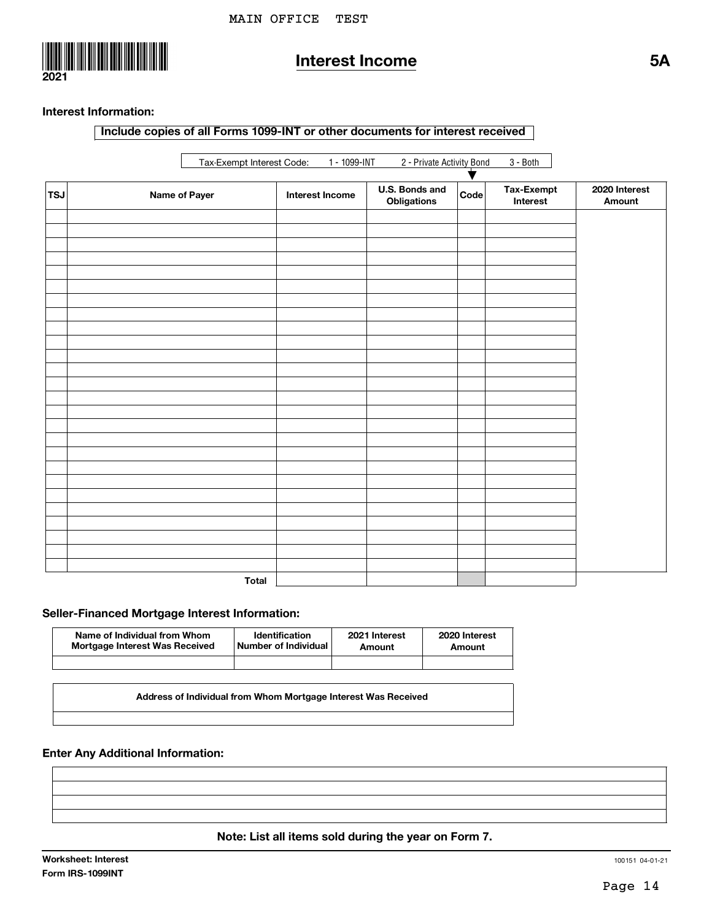

## **Interest Income 5A**

#### **Interest Information:**

**Include copies of all Forms 1099-INT or other documents for interest received**

|                | Tax-Exempt Interest Code: 1 - 1099-INT<br>2 - Private Activity Bond<br>$3 - Both$<br>♥ |                        |                               |      |                        |                         |  |  |
|----------------|----------------------------------------------------------------------------------------|------------------------|-------------------------------|------|------------------------|-------------------------|--|--|
| $ \tau$ sJ $ $ | <b>Name of Payer</b>                                                                   | <b>Interest Income</b> | U.S. Bonds and<br>Obligations | Code | Tax-Exempt<br>Interest | 2020 Interest<br>Amount |  |  |
|                |                                                                                        |                        |                               |      |                        |                         |  |  |
|                |                                                                                        |                        |                               |      |                        |                         |  |  |
|                |                                                                                        |                        |                               |      |                        |                         |  |  |
|                |                                                                                        |                        |                               |      |                        |                         |  |  |
|                |                                                                                        |                        |                               |      |                        |                         |  |  |
|                |                                                                                        |                        |                               |      |                        |                         |  |  |
|                |                                                                                        |                        |                               |      |                        |                         |  |  |
|                |                                                                                        |                        |                               |      |                        |                         |  |  |
|                |                                                                                        |                        |                               |      |                        |                         |  |  |
|                |                                                                                        |                        |                               |      |                        |                         |  |  |
|                |                                                                                        |                        |                               |      |                        |                         |  |  |
|                |                                                                                        |                        |                               |      |                        |                         |  |  |
|                |                                                                                        |                        |                               |      |                        |                         |  |  |
|                |                                                                                        |                        |                               |      |                        |                         |  |  |
|                |                                                                                        |                        |                               |      |                        |                         |  |  |
|                |                                                                                        |                        |                               |      |                        |                         |  |  |
|                |                                                                                        |                        |                               |      |                        |                         |  |  |
|                |                                                                                        |                        |                               |      |                        |                         |  |  |
|                |                                                                                        |                        |                               |      |                        |                         |  |  |
|                |                                                                                        |                        |                               |      |                        |                         |  |  |
|                |                                                                                        |                        |                               |      |                        |                         |  |  |
|                |                                                                                        |                        |                               |      |                        |                         |  |  |
|                |                                                                                        |                        |                               |      |                        |                         |  |  |
|                |                                                                                        |                        |                               |      |                        |                         |  |  |
|                |                                                                                        |                        |                               |      |                        |                         |  |  |
|                | <b>Total</b>                                                                           |                        |                               |      |                        |                         |  |  |

#### **Seller-Financed Mortgage Interest Information:**

| Name of Individual from Whom   | <b>Identification</b> | 2021 Interest | 2020 Interest |
|--------------------------------|-----------------------|---------------|---------------|
| Mortgage Interest Was Received | Number of Individual  | Amount        | Amount        |
|                                |                       |               |               |

**Address of Individual from Whom Mortgage Interest Was Received**

**Enter Any Additional Information:**

**Note: List all items sold during the year on Form 7.**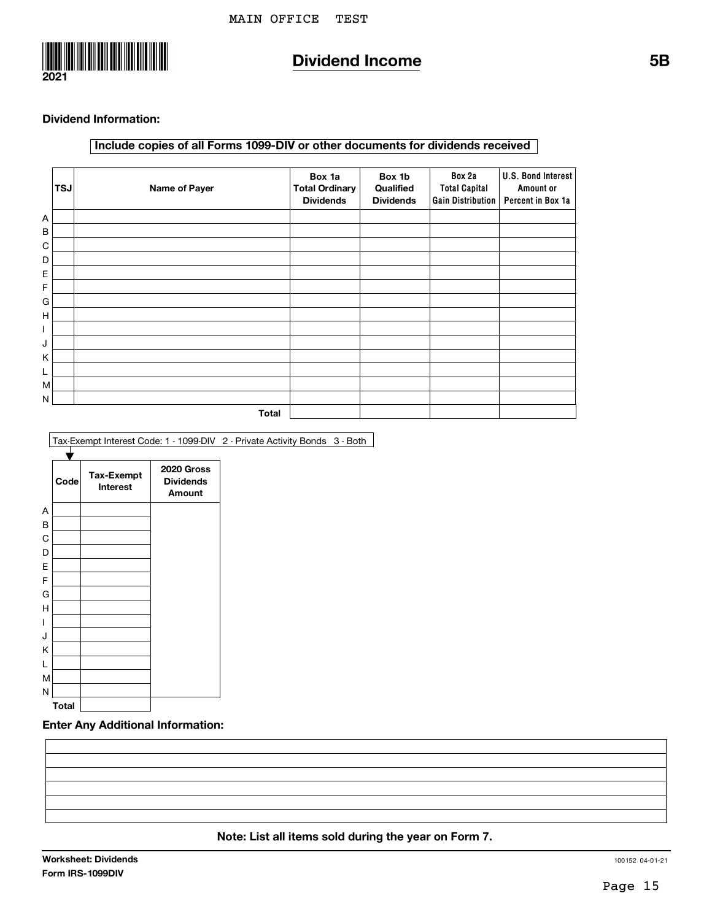

## **Dividend Income 5B**

#### **Dividend Information:**

#### **Include copies of all Forms 1099-DIV or other documents for dividends received**

|   | <b>TSJ</b> | Name of Payer | Box 1a<br><b>Total Ordinary</b><br><b>Dividends</b> | Box 1b<br>Qualified<br><b>Dividends</b> | Box 2a<br><b>Total Capital</b><br>Gain Distribution | U.S. Bond Interest<br>Amount or<br>Percent in Box 1a |
|---|------------|---------------|-----------------------------------------------------|-----------------------------------------|-----------------------------------------------------|------------------------------------------------------|
| А |            |               |                                                     |                                         |                                                     |                                                      |
| B |            |               |                                                     |                                         |                                                     |                                                      |
| C |            |               |                                                     |                                         |                                                     |                                                      |
| D |            |               |                                                     |                                         |                                                     |                                                      |
| Е |            |               |                                                     |                                         |                                                     |                                                      |
| F |            |               |                                                     |                                         |                                                     |                                                      |
| G |            |               |                                                     |                                         |                                                     |                                                      |
| н |            |               |                                                     |                                         |                                                     |                                                      |
| I |            |               |                                                     |                                         |                                                     |                                                      |
| J |            |               |                                                     |                                         |                                                     |                                                      |
| Κ |            |               |                                                     |                                         |                                                     |                                                      |
| L |            |               |                                                     |                                         |                                                     |                                                      |
| M |            |               |                                                     |                                         |                                                     |                                                      |
| Ν |            |               |                                                     |                                         |                                                     |                                                      |
|   |            | <b>Total</b>  |                                                     |                                         |                                                     |                                                      |

Tax-Exempt Interest Code: 1 - 1099-DIV 2 - Private Activity Bonds 3 - Both



#### **Enter Any Additional Information:**

#### **Note: List all items sold during the year on Form 7.**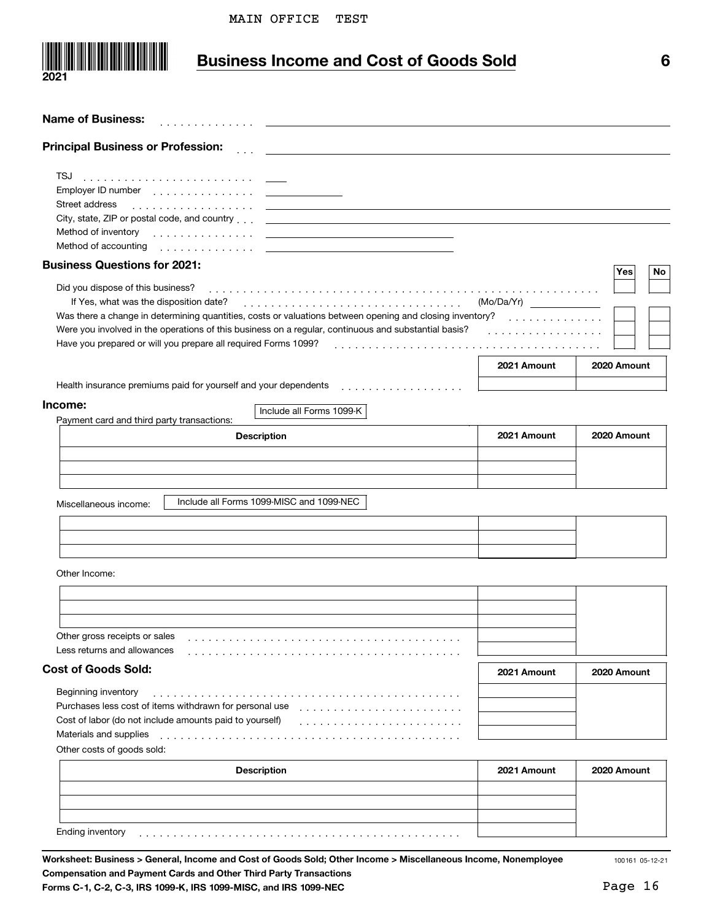

## **Business Income and Cost of Goods Sold 6**

| <b>Name of Business:</b><br>.                                                                                                                                                                                                                                                                                                                                                                                                                                                                                    |                                     |             |
|------------------------------------------------------------------------------------------------------------------------------------------------------------------------------------------------------------------------------------------------------------------------------------------------------------------------------------------------------------------------------------------------------------------------------------------------------------------------------------------------------------------|-------------------------------------|-------------|
| <b>Principal Business or Profession:</b>                                                                                                                                                                                                                                                                                                                                                                                                                                                                         |                                     |             |
| TSJ<br>Street address<br>City, state, ZIP or postal code, and country et al. and manufactured and country and all contents of the state of the state of the state of the state of the state of the state of the state of the state of the state of the<br>Method of inventory entries and the control of the control of the control of the control of the control of the control of the control of the control of the control of the control of the control of the control of the contro<br>Method of accounting |                                     |             |
| <b>Business Questions for 2021:</b>                                                                                                                                                                                                                                                                                                                                                                                                                                                                              |                                     | Yes<br>No   |
| Did you dispose of this business?<br>Was there a change in determining quantities, costs or valuations between opening and closing inventory?<br>Were you involved in the operations of this business on a regular, continuous and substantial basis?<br>Have you prepared or will you prepare all required Forms 1099?                                                                                                                                                                                          | (Mo/Da/Yr)<br>.<br>.<br>2021 Amount | 2020 Amount |
| Health insurance premiums paid for yourself and your dependents<br>.                                                                                                                                                                                                                                                                                                                                                                                                                                             |                                     |             |
| Income:<br>Include all Forms 1099-K                                                                                                                                                                                                                                                                                                                                                                                                                                                                              |                                     |             |
| Payment card and third party transactions:<br><b>Description</b>                                                                                                                                                                                                                                                                                                                                                                                                                                                 | 2021 Amount                         | 2020 Amount |
| Include all Forms 1099-MISC and 1099-NEC<br>Miscellaneous income:                                                                                                                                                                                                                                                                                                                                                                                                                                                |                                     |             |
| Other Income:                                                                                                                                                                                                                                                                                                                                                                                                                                                                                                    |                                     |             |
| Other gross receipts or sales<br>Less returns and allowances                                                                                                                                                                                                                                                                                                                                                                                                                                                     |                                     |             |
| <b>Cost of Goods Sold:</b>                                                                                                                                                                                                                                                                                                                                                                                                                                                                                       | 2021 Amount                         | 2020 Amount |
| Beginning inventory<br>Purchases less cost of items withdrawn for personal use<br>Cost of labor (do not include amounts paid to yourself)<br>Materials and supplies<br>Other costs of goods sold:                                                                                                                                                                                                                                                                                                                |                                     |             |
| <b>Description</b>                                                                                                                                                                                                                                                                                                                                                                                                                                                                                               | 2021 Amount                         | 2020 Amount |
|                                                                                                                                                                                                                                                                                                                                                                                                                                                                                                                  |                                     |             |

 $E$ nding inventory  $\left( \begin{array}{ccc} 1 & 1 & 1 & 1 \\ 1 & 1 & 1 & 1 \\ 1 & 1 & 1 & 1 \\ 1 & 1 & 1 & 1 \\ 1 & 1 & 1 & 1 \\ 1 & 1 & 1 & 1 \\ 1 & 1 & 1 & 1 \\ 1 & 1 & 1 & 1 \\ 1 & 1 & 1 & 1 \\ 1 & 1 & 1 & 1 \\ 1 & 1 & 1 & 1 \\ 1 & 1 & 1 & 1 \\ 1 & 1 & 1 & 1 \\ 1 & 1 & 1 & 1 \\ 1 & 1 & 1 & 1 \\ 1 & 1 & 1 & 1$ 

**Worksheet: Business > General, Income and Cost of Goods Sold; Other Income > Miscellaneous Income, Nonemployee Compensation and Payment Cards and Other Third Party Transactions Forms C-1, C-2, C-3, IRS 1099-K, IRS 1099-MISC, and IRS 1099-NEC**

100161 05-12-21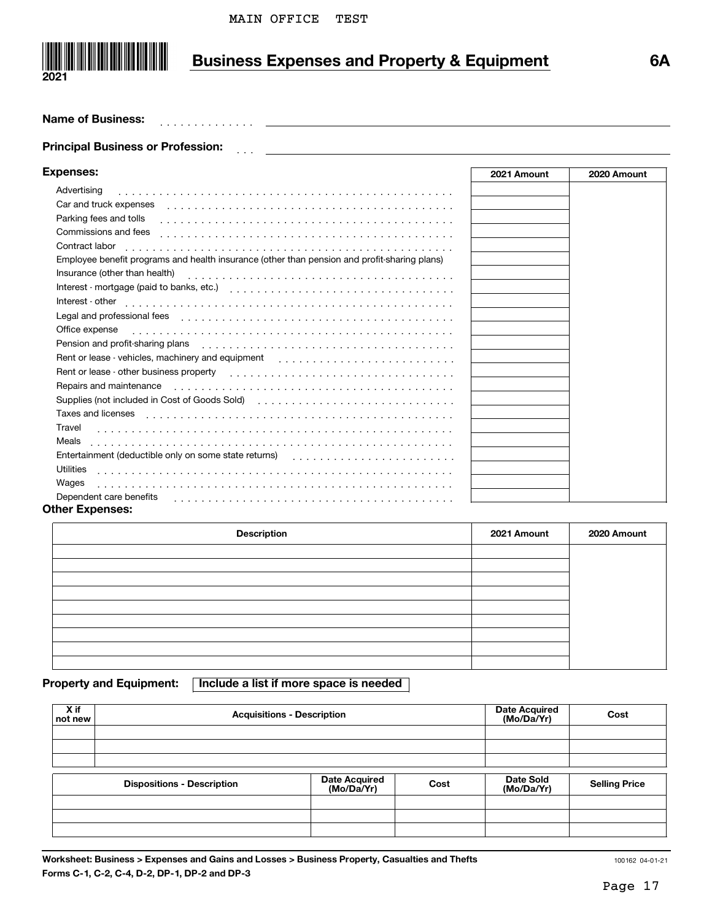

# **Business Expenses and Property & Equipment 6A**

#### **Name of Business:**

#### ]]] **Principal Business or Profession:**

. . . . . . . . . . . . .

| <b>Expenses:</b>                                                                                                                                                                                                               | 2021 Amount | 2020 Amount |
|--------------------------------------------------------------------------------------------------------------------------------------------------------------------------------------------------------------------------------|-------------|-------------|
| Advertising                                                                                                                                                                                                                    |             |             |
| Car and truck expenses expenses and the contract of the contract of the contract of the contract of the contract of the contract of the contract of the contract of the contract of the contract of the contract of the contra |             |             |
| Parking fees and tolls                                                                                                                                                                                                         |             |             |
| Commissions and fees                                                                                                                                                                                                           |             |             |
| Contract labor                                                                                                                                                                                                                 |             |             |
| Employee benefit programs and health insurance (other than pension and profit-sharing plans)                                                                                                                                   |             |             |
|                                                                                                                                                                                                                                |             |             |
|                                                                                                                                                                                                                                |             |             |
| Interest - other                                                                                                                                                                                                               |             |             |
|                                                                                                                                                                                                                                |             |             |
|                                                                                                                                                                                                                                |             |             |
| Pension and profit-sharing plans enterpreteral contracts of the plans of the contracts of the contracts of the                                                                                                                 |             |             |
|                                                                                                                                                                                                                                |             |             |
| Rent or lease - other business property enterstanding resources in the second section of the section of the section of the section of the section of the section of the section of the section of the section of the section o |             |             |
| Repairs and maintenance enterpreteration of the contract of the contract of the contract of the contract of the contract of the contract of the contract of the contract of the contract of the contract of the contract of th |             |             |
| Supplies (not included in Cost of Goods Sold) (and all contained and all contained and all contained and all c                                                                                                                 |             |             |
| Taxes and licenses enterpreteration of the contract of the contract of the contract of the contract of the contract of the contract of the contract of the contract of the contract of the contract of the contract of the con |             |             |
| Travel                                                                                                                                                                                                                         |             |             |
| Meals                                                                                                                                                                                                                          |             |             |
|                                                                                                                                                                                                                                |             |             |
| Utilities                                                                                                                                                                                                                      |             |             |
| Wages                                                                                                                                                                                                                          |             |             |
| Dependent care benefits response to contact the contract of the contract of the contract of the contract of the contract of the contract of the contract of the contract of the contract of the contract of the contract of th |             |             |

#### **Other Expenses:**

| <b>Description</b> | 2021 Amount | 2020 Amount |
|--------------------|-------------|-------------|
|                    |             |             |
|                    |             |             |
|                    |             |             |
|                    |             |             |
|                    |             |             |
|                    |             |             |
|                    |             |             |
|                    |             |             |
|                    |             |             |

**Property and Equipment: Include a list if more space is needed**

| X if<br>not new | <b>Acquisitions - Description</b> | <b>Date Acquired</b><br>(Mo/Da/Yr) | Cost |                         |                      |
|-----------------|-----------------------------------|------------------------------------|------|-------------------------|----------------------|
|                 |                                   |                                    |      |                         |                      |
|                 |                                   |                                    |      |                         |                      |
|                 |                                   |                                    |      |                         |                      |
|                 | <b>Dispositions - Description</b> | Date Acquired<br>(Mo/Da/Yr)        | Cost | Date Sold<br>(Mo/Da/Yr) | <b>Selling Price</b> |
|                 |                                   |                                    |      |                         |                      |
|                 |                                   |                                    |      |                         |                      |
|                 |                                   |                                    |      |                         |                      |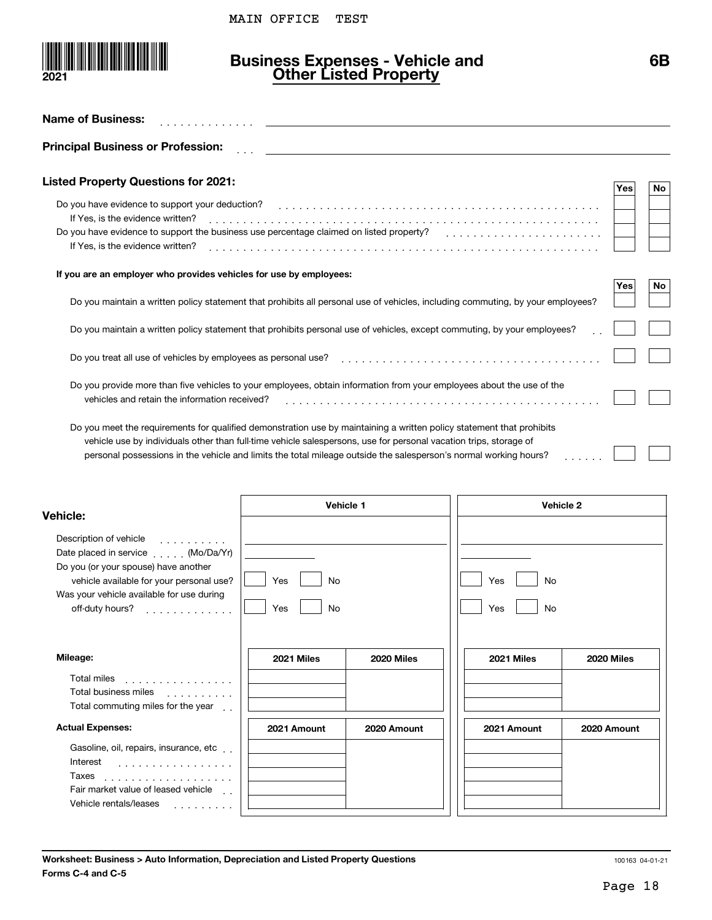

### **Business Expenses - Vehicle and Other Listed Property**

| <b>Name of Business:</b>                                                                                                                                                                                                                                                                                                                                                                                                                                                                                                                 |                        |             |                        |             |     |    |
|------------------------------------------------------------------------------------------------------------------------------------------------------------------------------------------------------------------------------------------------------------------------------------------------------------------------------------------------------------------------------------------------------------------------------------------------------------------------------------------------------------------------------------------|------------------------|-------------|------------------------|-------------|-----|----|
| <b>Principal Business or Profession:</b>                                                                                                                                                                                                                                                                                                                                                                                                                                                                                                 |                        |             |                        |             |     |    |
| <b>Listed Property Questions for 2021:</b>                                                                                                                                                                                                                                                                                                                                                                                                                                                                                               |                        |             |                        |             | Yes | No |
| Do you have evidence to support your deduction?<br>If Yes, is the evidence written?<br>Do you have evidence to support the business use percentage claimed on listed property?<br>If Yes, is the evidence written?                                                                                                                                                                                                                                                                                                                       |                        |             |                        |             |     |    |
| If you are an employer who provides vehicles for use by employees:                                                                                                                                                                                                                                                                                                                                                                                                                                                                       |                        |             |                        |             | Yes | No |
| Do you maintain a written policy statement that prohibits all personal use of vehicles, including commuting, by your employees?                                                                                                                                                                                                                                                                                                                                                                                                          |                        |             |                        |             |     |    |
| Do you maintain a written policy statement that prohibits personal use of vehicles, except commuting, by your employees?                                                                                                                                                                                                                                                                                                                                                                                                                 |                        |             |                        |             |     |    |
| Do you treat all use of vehicles by employees as personal use?                                                                                                                                                                                                                                                                                                                                                                                                                                                                           |                        |             |                        |             |     |    |
| Do you provide more than five vehicles to your employees, obtain information from your employees about the use of the<br>vehicles and retain the information received?<br>Do you meet the requirements for qualified demonstration use by maintaining a written policy statement that prohibits<br>vehicle use by individuals other than full-time vehicle salespersons, use for personal vacation trips, storage of<br>personal possessions in the vehicle and limits the total mileage outside the salesperson's normal working hours? |                        |             |                        |             |     |    |
| <b>Vehicle:</b>                                                                                                                                                                                                                                                                                                                                                                                                                                                                                                                          | Vehicle 1              |             | Vehicle 2              |             |     |    |
| Description of vehicle<br>Date placed in service (Mo/Da/Yr)<br>Do you (or your spouse) have another<br>vehicle available for your personal use?<br>Was your vehicle available for use during<br>off-duty hours?<br>.                                                                                                                                                                                                                                                                                                                     | Yes<br>No<br>Yes<br>No |             | No<br>Yes<br>No<br>Yes |             |     |    |
| Mileage:                                                                                                                                                                                                                                                                                                                                                                                                                                                                                                                                 | 2021 Miles             | 2020 Miles  | 2021 Miles             | 2020 Miles  |     |    |
| Total miles<br>.<br>Total business miles<br>in de la provincia de<br>Total commuting miles for the year [1].                                                                                                                                                                                                                                                                                                                                                                                                                             |                        |             |                        |             |     |    |
| <b>Actual Expenses:</b>                                                                                                                                                                                                                                                                                                                                                                                                                                                                                                                  | 2021 Amount            | 2020 Amount | 2021 Amount            | 2020 Amount |     |    |

| Gasoline, oil, repairs, insurance, etc |  |
|----------------------------------------|--|
| Interest<br>.                          |  |
| Taxes<br>.                             |  |
| Fair market value of leased vehicle    |  |
| Vehicle rentals/leases                 |  |
|                                        |  |

| 2020 Amount | 2021 Amount | 2020 Amount |
|-------------|-------------|-------------|
|             |             |             |
|             |             |             |
|             |             |             |
|             |             |             |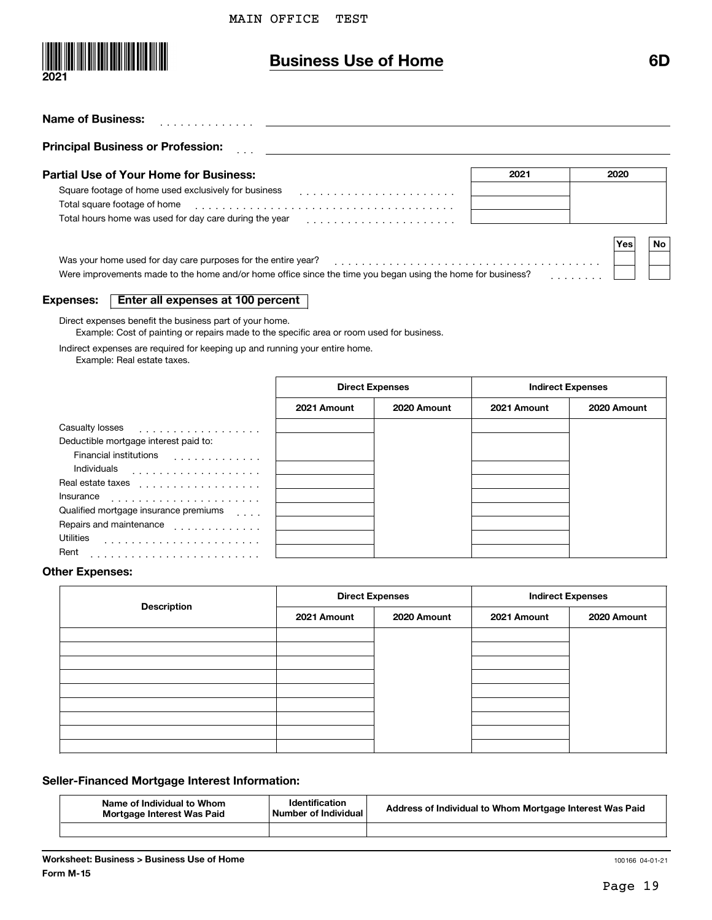

### **Business Use of Home 6D**

| 2021 | 2020             |
|------|------------------|
|      |                  |
|      |                  |
|      |                  |
|      |                  |
|      | <b>No</b><br>Yes |
|      |                  |

#### **Expenses:Enter all expenses at 100 percent**

Direct expenses benefit the business part of your home.

Example: Cost of painting or repairs made to the specific area or room used for business.

Indirect expenses are required for keeping up and running your entire home.

Example: Real estate taxes.

|                                                                          | <b>Direct Expenses</b> |             | <b>Indirect Expenses</b> |             |  |  |  |
|--------------------------------------------------------------------------|------------------------|-------------|--------------------------|-------------|--|--|--|
|                                                                          | 2021 Amount            | 2020 Amount | 2021 Amount              | 2020 Amount |  |  |  |
| Casualty losses<br>.                                                     |                        |             |                          |             |  |  |  |
| Deductible mortgage interest paid to:                                    |                        |             |                          |             |  |  |  |
| Financial institutions<br>.                                              |                        |             |                          |             |  |  |  |
| Individuals<br>.                                                         |                        |             |                          |             |  |  |  |
| Real estate taxes                                                        |                        |             |                          |             |  |  |  |
| Insurance                                                                |                        |             |                          |             |  |  |  |
| Qualified mortgage insurance premiums<br>$\cdot$ $\cdot$ $\cdot$ $\cdot$ |                        |             |                          |             |  |  |  |
| Repairs and maintenance                                                  |                        |             |                          |             |  |  |  |
| <b>Utilities</b>                                                         |                        |             |                          |             |  |  |  |
| Rent                                                                     |                        |             |                          |             |  |  |  |

#### **Other Expenses:**

|                    |             | <b>Direct Expenses</b> | <b>Indirect Expenses</b> |             |  |  |  |
|--------------------|-------------|------------------------|--------------------------|-------------|--|--|--|
| <b>Description</b> | 2021 Amount | 2020 Amount            | 2021 Amount              | 2020 Amount |  |  |  |
|                    |             |                        |                          |             |  |  |  |
|                    |             |                        |                          |             |  |  |  |
|                    |             |                        |                          |             |  |  |  |
|                    |             |                        |                          |             |  |  |  |
|                    |             |                        |                          |             |  |  |  |
|                    |             |                        |                          |             |  |  |  |
|                    |             |                        |                          |             |  |  |  |
|                    |             |                        |                          |             |  |  |  |

#### **Seller-Financed Mortgage Interest Information:**

| Name of Individual to Whom<br>Mortgage Interest Was Paid | <b>Identification</b><br>Number of Individual | Address of Individual to Whom Mortgage Interest Was Paid |
|----------------------------------------------------------|-----------------------------------------------|----------------------------------------------------------|
|                                                          |                                               |                                                          |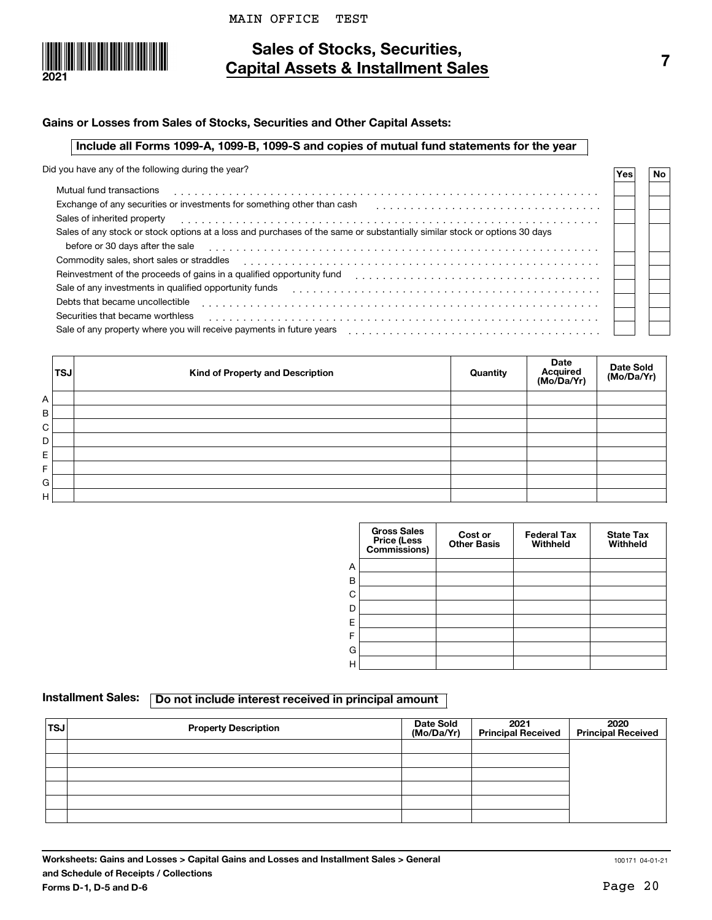



### **Sales of Stocks, Securities, Capital Assets & Installment Sales**

#### **Gains or Losses from Sales of Stocks, Securities and Other Capital Assets:**

#### **Include all Forms 1099-A, 1099-B, 1099-S and copies of mutual fund statements for the year**

Did you have any of the following during the year?

| $\overline{1}$ or $\overline{1}$ and $\overline{2}$ and $\overline{3}$ and $\overline{1}$ and $\overline{1}$ and $\overline{1}$ and $\overline{1}$ and $\overline{1}$ and $\overline{1}$ and $\overline{1}$ and $\overline{1}$ and $\overline{1}$ and $\overline{1}$ and $\overline{1}$ and $\overline{1}$ and $\overline{1}$ and | Yes | <b>No</b> |
|-----------------------------------------------------------------------------------------------------------------------------------------------------------------------------------------------------------------------------------------------------------------------------------------------------------------------------------|-----|-----------|
| Mutual fund transactions                                                                                                                                                                                                                                                                                                          |     |           |
| Exchange of any securities or investments for something other than cash                                                                                                                                                                                                                                                           |     |           |
| Sales of inherited property                                                                                                                                                                                                                                                                                                       |     |           |
| Sales of any stock or stock options at a loss and purchases of the same or substantially similar stock or options 30 days                                                                                                                                                                                                         |     |           |
| before or 30 days after the sale                                                                                                                                                                                                                                                                                                  |     |           |
| Commodity sales, short sales or straddles                                                                                                                                                                                                                                                                                         |     |           |
| Reinvestment of the proceeds of gains in a qualified opportunity fund                                                                                                                                                                                                                                                             |     |           |
| Sale of any investments in qualified opportunity funds                                                                                                                                                                                                                                                                            |     |           |
| Debts that became uncollectible                                                                                                                                                                                                                                                                                                   |     |           |
| Securities that became worthless                                                                                                                                                                                                                                                                                                  |     |           |
| Sale of any property where you will receive payments in future years                                                                                                                                                                                                                                                              |     |           |

|   | <b>TSJ</b> | Kind of Property and Description | Quantity | <b>Date</b><br>Acquired<br>(Mo/Da/Yr) | Date Sold<br>(Mo/Da/Yr) |
|---|------------|----------------------------------|----------|---------------------------------------|-------------------------|
| A |            |                                  |          |                                       |                         |
| B |            |                                  |          |                                       |                         |
| C |            |                                  |          |                                       |                         |
| D |            |                                  |          |                                       |                         |
| Е |            |                                  |          |                                       |                         |
| F |            |                                  |          |                                       |                         |
| G |            |                                  |          |                                       |                         |
| н |            |                                  |          |                                       |                         |

|   | <b>Gross Sales</b><br>Price (Less<br>Commissions) | Cost or<br><b>Other Basis</b> | <b>Federal Tax</b><br>Withheld | <b>State Tax</b><br>Withheld |
|---|---------------------------------------------------|-------------------------------|--------------------------------|------------------------------|
| A |                                                   |                               |                                |                              |
| В |                                                   |                               |                                |                              |
| C |                                                   |                               |                                |                              |
| D |                                                   |                               |                                |                              |
| Ε |                                                   |                               |                                |                              |
| F |                                                   |                               |                                |                              |
| G |                                                   |                               |                                |                              |
| Η |                                                   |                               |                                |                              |

### Installment Sales: **Do not include interest received in principal amount**

| 'TSJ | <b>Property Description</b> | Date Sold<br>(Mo/Da/Yr) | 2021<br>  Principal Received | 2020<br>Principal Received |
|------|-----------------------------|-------------------------|------------------------------|----------------------------|
|      |                             |                         |                              |                            |
|      |                             |                         |                              |                            |
|      |                             |                         |                              |                            |
|      |                             |                         |                              |                            |
|      |                             |                         |                              |                            |
|      |                             |                         |                              |                            |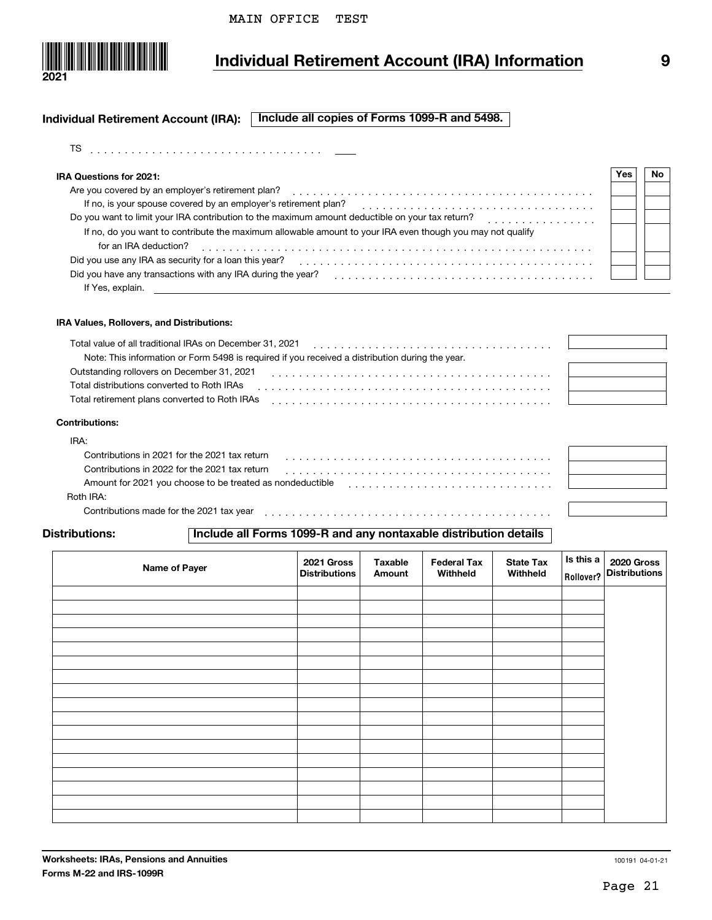

# **Individual Retirement Account (IRA) Information 9**

#### **Individual Retirement Account (IRA): Include all copies of Forms 1099-R and 5498.**

| TS |  |  |  |  |  |  |  |  |  |  |  |  |  |  |  |  |  |
|----|--|--|--|--|--|--|--|--|--|--|--|--|--|--|--|--|--|
|    |  |  |  |  |  |  |  |  |  |  |  |  |  |  |  |  |  |

| IRA Questions for 2021:                                                                                   | 'es | No. |
|-----------------------------------------------------------------------------------------------------------|-----|-----|
| Are you covered by an employer's retirement plan?                                                         |     |     |
| If no, is your spouse covered by an employer's retirement plan?                                           |     |     |
| Do you want to limit your IRA contribution to the maximum amount deductible on your tax return?           |     |     |
| If no, do you want to contribute the maximum allowable amount to your IRA even though you may not qualify |     |     |
| for an IRA deduction?                                                                                     |     |     |
| Did you use any IRA as security for a loan this year?                                                     |     |     |
| Did you have any transactions with any IRA during the year?                                               |     |     |
| If Yes, explain.                                                                                          |     |     |

#### **IRA Values, Rollovers, and Distributions:**

| Total value of all traditional IRAs on December 31, 2021                                        |  |
|-------------------------------------------------------------------------------------------------|--|
|                                                                                                 |  |
| Note: This information or Form 5498 is required if you received a distribution during the year. |  |
| Outstanding rollovers on December 31, 2021                                                      |  |
| Total distributions converted to Roth IRAs                                                      |  |
| Total retirement plans converted to Roth IRAs                                                   |  |
|                                                                                                 |  |

| <b>Contributions:</b> |  |
|-----------------------|--|
|-----------------------|--|

| IRA:                                                      |  |
|-----------------------------------------------------------|--|
| Contributions in 2021 for the 2021 tax return             |  |
| Contributions in 2022 for the 2021 tax return             |  |
| Amount for 2021 you choose to be treated as nondeductible |  |
| Roth IRA:                                                 |  |
| Contributions made for the 2021 tax year                  |  |

#### **Distributions:**

#### **Include all Forms 1099-R and any nontaxable distribution details**

| Name of Payer | 2021 Gross<br><b>Distributions</b> | <b>Taxable</b><br>Amount | <b>Federal Tax</b><br>Withheld | <b>State Tax</b><br>Withheld | $ls$ this a<br>Rollover? | 2020 Gross<br>Distributions |
|---------------|------------------------------------|--------------------------|--------------------------------|------------------------------|--------------------------|-----------------------------|
|               |                                    |                          |                                |                              |                          |                             |
|               |                                    |                          |                                |                              |                          |                             |
|               |                                    |                          |                                |                              |                          |                             |
|               |                                    |                          |                                |                              |                          |                             |
|               |                                    |                          |                                |                              |                          |                             |
|               |                                    |                          |                                |                              |                          |                             |
|               |                                    |                          |                                |                              |                          |                             |
|               |                                    |                          |                                |                              |                          |                             |
|               |                                    |                          |                                |                              |                          |                             |
|               |                                    |                          |                                |                              |                          |                             |
|               |                                    |                          |                                |                              |                          |                             |
|               |                                    |                          |                                |                              |                          |                             |
|               |                                    |                          |                                |                              |                          |                             |
|               |                                    |                          |                                |                              |                          |                             |
|               |                                    |                          |                                |                              |                          |                             |
|               |                                    |                          |                                |                              |                          |                             |
|               |                                    |                          |                                |                              |                          |                             |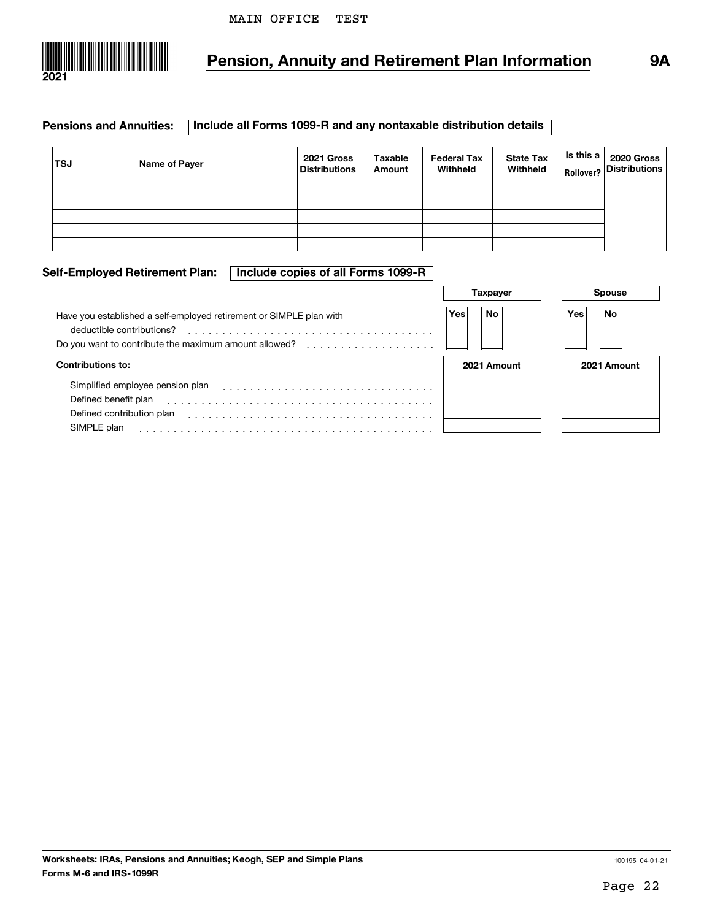

## **Pension, Annuity and Retirement Plan Information 9A**

#### **Pensions and Annuities: Include all Forms 1099-R and any nontaxable distribution details**

| <b>TSJ</b> | Name of Payer | 2021 Gross<br><b>Distributions</b> | Taxable<br>Amount | <b>Federal Tax</b><br>Withheld | <b>State Tax</b><br>Withheld | $\begin{array}{ l } \hline \textsf{ls this a} & \textsf{2020 Gross} \ \hline \textsf{Rollover?} & \textsf{Distributions} \end{array}$ |
|------------|---------------|------------------------------------|-------------------|--------------------------------|------------------------------|---------------------------------------------------------------------------------------------------------------------------------------|
|            |               |                                    |                   |                                |                              |                                                                                                                                       |
|            |               |                                    |                   |                                |                              |                                                                                                                                       |
|            |               |                                    |                   |                                |                              |                                                                                                                                       |
|            |               |                                    |                   |                                |                              |                                                                                                                                       |
|            |               |                                    |                   |                                |                              |                                                                                                                                       |

#### **Self-Employed Retirement Plan: Include copies of all Forms 1099-R**

| Have you established a self-employed retirement or SIMPLE plan with<br>deductible contributions?<br>Do you want to contribute the maximum amount allowed?<br>. | No<br>Yes   | Yes<br>No   |
|----------------------------------------------------------------------------------------------------------------------------------------------------------------|-------------|-------------|
| <b>Contributions to:</b>                                                                                                                                       | 2021 Amount | 2021 Amount |
| Simplified employee pension plan<br>Defined benefit plan<br>Defined contribution plan<br>SIMPLE plan                                                           |             |             |



|  | 2021 Amount |
|--|-------------|
|  |             |
|  |             |
|  |             |
|  |             |

**Spouse**

#### **Worksheets: IRAs, Pensions and Annuities; Keogh, SEP and Simple Plans Forms M-6 and IRS-1099R**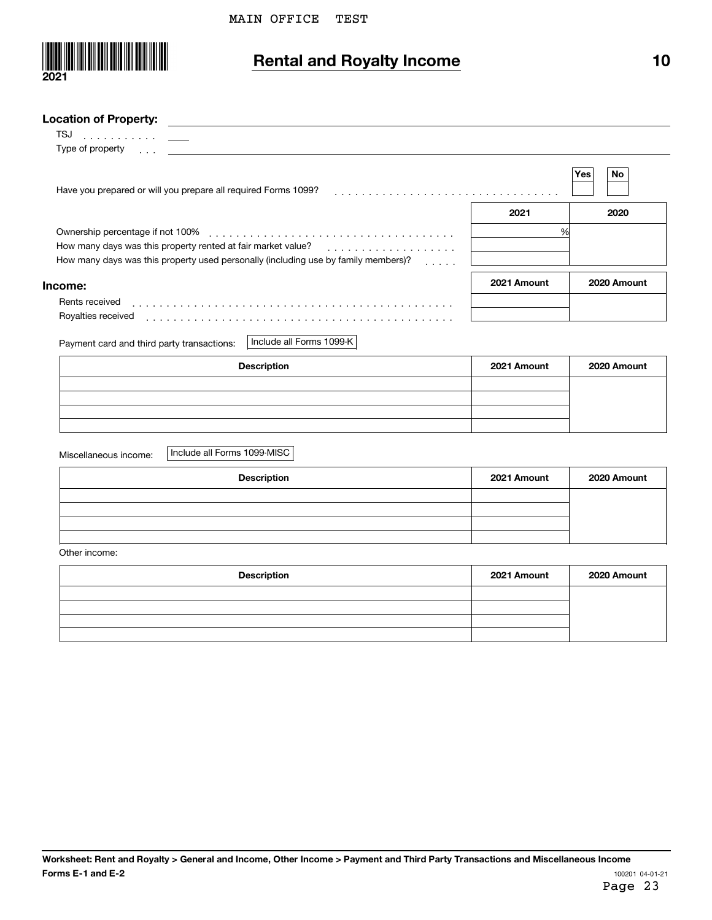

# **Rental and Royalty Income**

| ×<br>٠ |
|--------|
|        |

#### **Location of Property:**

 $\overline{a}$ 

| 15J<br>. <u>.</u>                                                                                                                                                                                                              |             |             |
|--------------------------------------------------------------------------------------------------------------------------------------------------------------------------------------------------------------------------------|-------------|-------------|
| Type of property responsive to the control of the control of the control of the control of the control of the control of the control of the control of the control of the control of the control of the control of the control |             |             |
| Have you prepared or will you prepare all required Forms 1099?                                                                                                                                                                 |             | No<br>Yes   |
|                                                                                                                                                                                                                                | 2021        | 2020        |
|                                                                                                                                                                                                                                | %           |             |
| How many days was this property rented at fair market value?<br>.                                                                                                                                                              |             |             |
| How many days was this property used personally (including use by family members)?<br>.                                                                                                                                        |             |             |
| Income:                                                                                                                                                                                                                        | 2021 Amount | 2020 Amount |
| Rents received                                                                                                                                                                                                                 |             |             |
| Royalties received                                                                                                                                                                                                             |             |             |
|                                                                                                                                                                                                                                |             |             |

Payment card and third party transactions: Include all Forms 1099-K

| <b>Description</b> | 2021 Amount | 2020 Amount |
|--------------------|-------------|-------------|
|                    |             |             |
|                    |             |             |
|                    |             |             |
|                    |             |             |

Miscellaneous income:

Include all Forms 1099-MISC

| <b>Description</b> | 2021 Amount | 2020 Amount |
|--------------------|-------------|-------------|
|                    |             |             |
|                    |             |             |
|                    |             |             |
|                    |             |             |

Other income:

| <b>Description</b> | 2021 Amount | 2020 Amount |
|--------------------|-------------|-------------|
|                    |             |             |
|                    |             |             |
|                    |             |             |
|                    |             |             |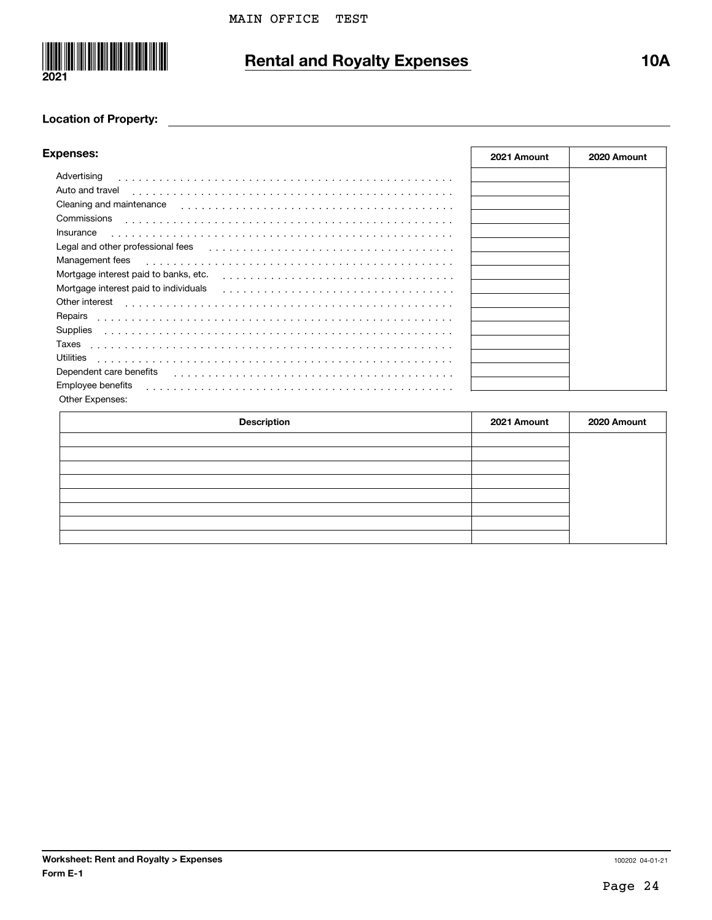

# **Rental and Royalty Expenses 10A**

#### **Location of Property:**

| <b>Expenses:</b>                      | 2021 Amount | 2020 Amount |
|---------------------------------------|-------------|-------------|
| Advertising<br>.                      |             |             |
| Auto and travel                       |             |             |
| Cleaning and maintenance              |             |             |
| Commissions                           |             |             |
| Insurance                             |             |             |
| Legal and other professional fees     |             |             |
| Management fees                       |             |             |
| Mortgage interest paid to banks, etc. |             |             |
| Mortgage interest paid to individuals |             |             |
| Other interest                        |             |             |
| Repairs                               |             |             |
| Supplies                              |             |             |
| Taxes                                 |             |             |
| Utilities                             |             |             |
| Dependent care benefits               |             |             |
| Employee benefits                     |             |             |
| Other Expenses:                       |             |             |

| <b>Description</b> | 2021 Amount | 2020 Amount |
|--------------------|-------------|-------------|
|                    |             |             |
|                    |             |             |
|                    |             |             |
|                    |             |             |
|                    |             |             |
|                    |             |             |
|                    |             |             |
|                    |             |             |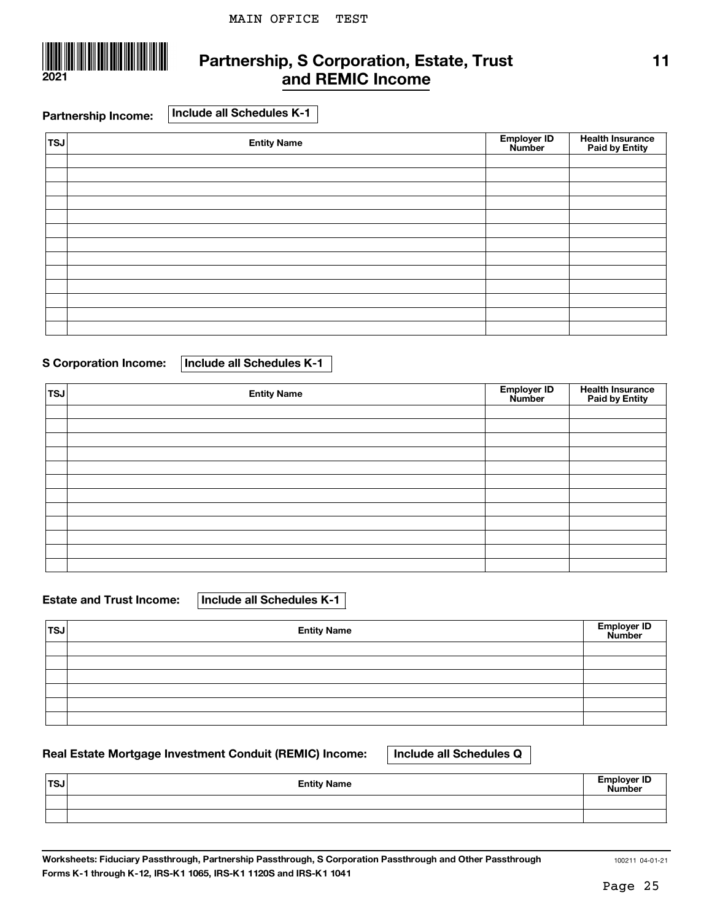

### **Partnership, S Corporation, Estate, Trust and REMIC Income**

**Partnership Income: Include all Schedules K-1**

| TSJ | <b>Entity Name</b> | Employer ID<br>Number | <b>Health Insurance<br/>Paid by Entity</b> |
|-----|--------------------|-----------------------|--------------------------------------------|
|     |                    |                       |                                            |
|     |                    |                       |                                            |
|     |                    |                       |                                            |
|     |                    |                       |                                            |
|     |                    |                       |                                            |
|     |                    |                       |                                            |
|     |                    |                       |                                            |
|     |                    |                       |                                            |
|     |                    |                       |                                            |
|     |                    |                       |                                            |
|     |                    |                       |                                            |
|     |                    |                       |                                            |
|     |                    |                       |                                            |

#### **S Corporation Income: Include all Schedules K-1**

| <b>TSJ</b> | <b>Entity Name</b> | Employer ID<br>Number | <b>Health Insurance<br/>Paid by Entity</b> |
|------------|--------------------|-----------------------|--------------------------------------------|
|            |                    |                       |                                            |
|            |                    |                       |                                            |
|            |                    |                       |                                            |
|            |                    |                       |                                            |
|            |                    |                       |                                            |
|            |                    |                       |                                            |
|            |                    |                       |                                            |
|            |                    |                       |                                            |
|            |                    |                       |                                            |
|            |                    |                       |                                            |
|            |                    |                       |                                            |
|            |                    |                       |                                            |

**Estate and Trust Income: Include all Schedules K-1**

| <b>TSJ</b> | <b>Entity Name</b> | Employer ID<br>Number |
|------------|--------------------|-----------------------|
|            |                    |                       |
|            |                    |                       |
|            |                    |                       |
|            |                    |                       |
|            |                    |                       |
|            |                    |                       |

### **Real Estate Mortgage Investment Conduit (REMIC) Income: Include all Schedules Q**

| ∣TSJ | <b>Entity Name</b> | <b>Employer ID</b><br>Number |
|------|--------------------|------------------------------|
|      |                    |                              |
|      |                    |                              |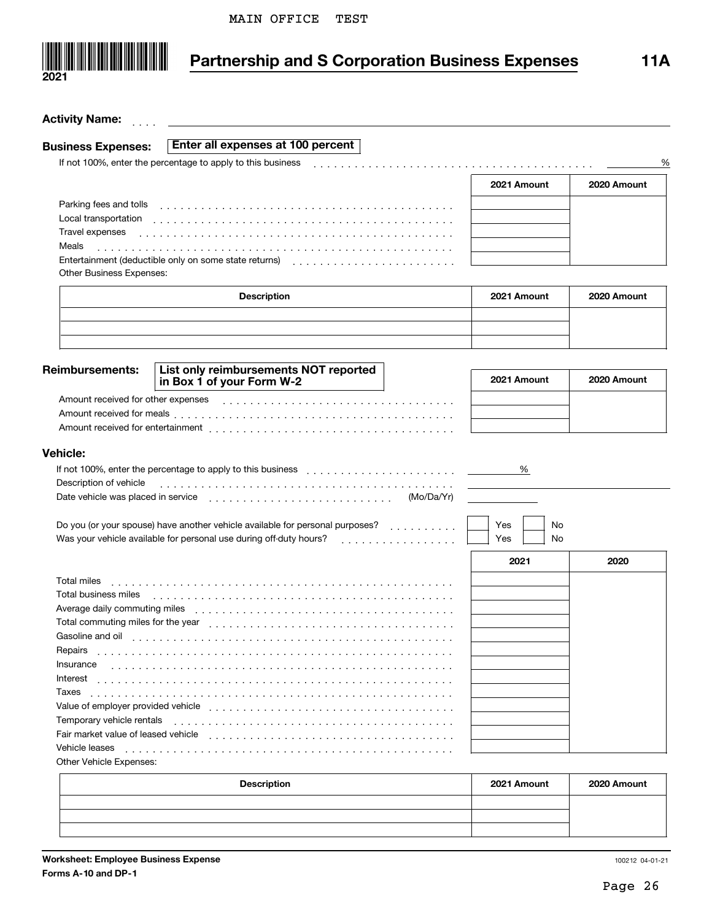

# **Partnership and S Corporation Business Expenses 11A**

| <b>Activity Name:</b>                                            |                                                                                                                                                                                                                                |             |             |
|------------------------------------------------------------------|--------------------------------------------------------------------------------------------------------------------------------------------------------------------------------------------------------------------------------|-------------|-------------|
| <b>Business Expenses:</b>                                        | Enter all expenses at 100 percent                                                                                                                                                                                              |             |             |
|                                                                  | If not 100%, enter the percentage to apply to this business                                                                                                                                                                    |             | ℀           |
|                                                                  |                                                                                                                                                                                                                                |             |             |
|                                                                  |                                                                                                                                                                                                                                | 2021 Amount | 2020 Amount |
| Parking fees and tolls                                           |                                                                                                                                                                                                                                |             |             |
| Local transportation                                             |                                                                                                                                                                                                                                |             |             |
| Travel expenses                                                  |                                                                                                                                                                                                                                |             |             |
| Meals                                                            |                                                                                                                                                                                                                                |             |             |
|                                                                  |                                                                                                                                                                                                                                |             |             |
| <b>Other Business Expenses:</b>                                  |                                                                                                                                                                                                                                |             |             |
|                                                                  | <b>Description</b>                                                                                                                                                                                                             | 2021 Amount | 2020 Amount |
|                                                                  |                                                                                                                                                                                                                                |             |             |
|                                                                  |                                                                                                                                                                                                                                |             |             |
|                                                                  |                                                                                                                                                                                                                                |             |             |
|                                                                  |                                                                                                                                                                                                                                |             |             |
| <b>Reimbursements:</b>                                           | List only reimbursements NOT reported                                                                                                                                                                                          | 2021 Amount | 2020 Amount |
|                                                                  | in Box 1 of your Form W-2                                                                                                                                                                                                      |             |             |
|                                                                  |                                                                                                                                                                                                                                |             |             |
|                                                                  |                                                                                                                                                                                                                                |             |             |
|                                                                  |                                                                                                                                                                                                                                |             |             |
| <b>Vehicle:</b>                                                  |                                                                                                                                                                                                                                |             |             |
|                                                                  | If not 100%, enter the percentage to apply to this business enter the set of the set of the set of the percentage to apply to this business enter the set of the set of the set of the set of the set of the set of the set of | %           |             |
| Description of vehicle                                           |                                                                                                                                                                                                                                |             |             |
|                                                                  | (Mo/Da/Yr)                                                                                                                                                                                                                     |             |             |
|                                                                  |                                                                                                                                                                                                                                |             |             |
|                                                                  | Do you (or your spouse) have another vehicle available for personal purposes?                                                                                                                                                  | Yes<br>No   |             |
|                                                                  | Was your vehicle available for personal use during off-duty hours? [1] [1] was your vehicle available for personal use during off-duty hours? [1] [1] was your vehicle available for personal use during off-duty hours? [1]   | Yes<br>No   |             |
|                                                                  |                                                                                                                                                                                                                                |             |             |
|                                                                  |                                                                                                                                                                                                                                | 2021        | 2020        |
| Total miles                                                      |                                                                                                                                                                                                                                |             |             |
| Total business miles                                             |                                                                                                                                                                                                                                |             |             |
| Average daily commuting miles                                    |                                                                                                                                                                                                                                |             |             |
| Total commuting miles for the year                               |                                                                                                                                                                                                                                |             |             |
| Gasoline and oil                                                 |                                                                                                                                                                                                                                |             |             |
| Repairs                                                          |                                                                                                                                                                                                                                |             |             |
| Insurance                                                        |                                                                                                                                                                                                                                |             |             |
| Interest                                                         |                                                                                                                                                                                                                                |             |             |
| Taxes                                                            |                                                                                                                                                                                                                                |             |             |
| Value of employer provided vehicle                               |                                                                                                                                                                                                                                |             |             |
| Temporary vehicle rentals<br>Fair market value of leased vehicle |                                                                                                                                                                                                                                |             |             |
| Vehicle leases                                                   |                                                                                                                                                                                                                                |             |             |
| Other Vehicle Expenses:                                          |                                                                                                                                                                                                                                |             |             |

| <b>Description</b> | 2021 Amount | 2020 Amount |
|--------------------|-------------|-------------|
|                    |             |             |
|                    |             |             |
|                    |             |             |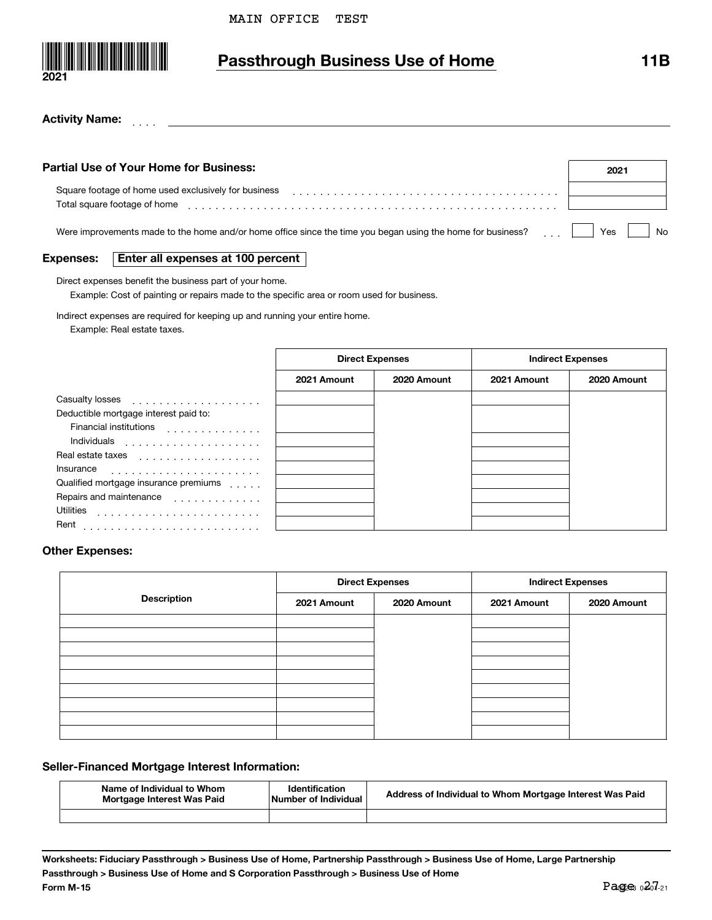

## **Passthrough Business Use of Home 11B**

#### ]]]] **Activity Name:**

| Partial Use of Your Home for Business:                                                                      | 2021         |
|-------------------------------------------------------------------------------------------------------------|--------------|
| Square footage of home used exclusively for business<br>Total square footage of home                        |              |
| Were improvements made to the home and/or home office since the time you began using the home for business? | No.<br>Yes i |

#### **Expenses:Enter all expenses at 100 percent**

Direct expenses benefit the business part of your home.

Example: Cost of painting or repairs made to the specific area or room used for business.

Indirect expenses are required for keeping up and running your entire home.

Example: Real estate taxes.

|                                       | <b>Direct Expenses</b> |             | <b>Indirect Expenses</b> |             |
|---------------------------------------|------------------------|-------------|--------------------------|-------------|
|                                       | 2021 Amount            | 2020 Amount | 2021 Amount              | 2020 Amount |
|                                       |                        |             |                          |             |
| Deductible mortgage interest paid to: |                        |             |                          |             |
| <b>Financial institutions</b><br>.    |                        |             |                          |             |
| Individuals<br>.                      |                        |             |                          |             |
| Real estate taxes<br>.                |                        |             |                          |             |
| Insurance                             |                        |             |                          |             |
| Qualified mortgage insurance premiums |                        |             |                          |             |
| Repairs and maintenance               |                        |             |                          |             |
| <b>Utilities</b>                      |                        |             |                          |             |
| Rent                                  |                        |             |                          |             |

#### **Other Expenses:**

|                    | <b>Direct Expenses</b> |             | <b>Indirect Expenses</b> |             |
|--------------------|------------------------|-------------|--------------------------|-------------|
| <b>Description</b> | 2021 Amount            | 2020 Amount | 2021 Amount              | 2020 Amount |
|                    |                        |             |                          |             |
|                    |                        |             |                          |             |
|                    |                        |             |                          |             |
|                    |                        |             |                          |             |
|                    |                        |             |                          |             |
|                    |                        |             |                          |             |
|                    |                        |             |                          |             |

#### **Seller-Financed Mortgage Interest Information:**

| Name of Individual to Whom<br>Mortgage Interest Was Paid | <b>Identification</b><br>Number of Individual | Address of Individual to Whom Mortgage Interest Was Paid |
|----------------------------------------------------------|-----------------------------------------------|----------------------------------------------------------|
|                                                          |                                               |                                                          |

**Worksheets: Fiduciary Passthrough > Business Use of Home, Partnership Passthrough > Business Use of Home, Large Partnership Passthrough > Business Use of Home and S Corporation Passthrough > Business Use of Home Form M-15**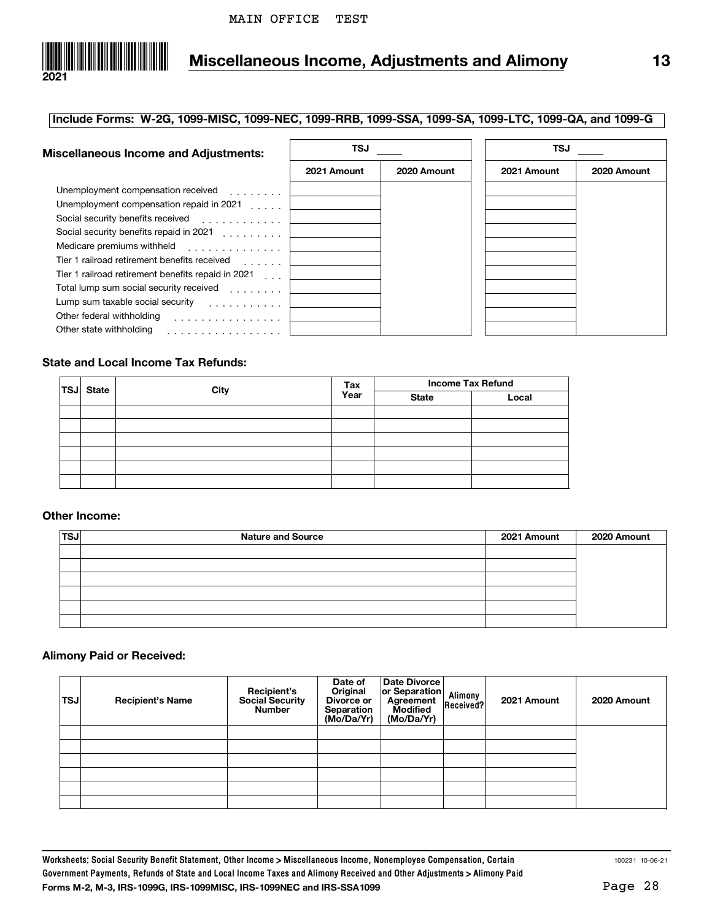

# **Miscellaneous Income, Adjustments and Alimony 13**

#### **Include Forms: W-2G, 1099-MISC, 1099-NEC, 1099-RRB, 1099-SSA, 1099-SA, 1099-LTC, 1099-QA, and 1099-G**

| <b>Miscellaneous Income and Adjustments:</b>                   | TSJ         |             | TSJ         |             |  |
|----------------------------------------------------------------|-------------|-------------|-------------|-------------|--|
|                                                                | 2021 Amount | 2020 Amount | 2021 Amount | 2020 Amount |  |
| Unemployment compensation received [1, 1, 1, 1, 1, 1]          |             |             |             |             |  |
| Unemployment compensation repaid in 2021                       |             |             |             |             |  |
| Social security benefits received                              |             |             |             |             |  |
| Social security benefits repaid in 2021                        |             |             |             |             |  |
| Medicare premiums withheld                                     |             |             |             |             |  |
| Tier 1 railroad retirement benefits received<br>and a straight |             |             |             |             |  |
| Tier 1 railroad retirement benefits repaid in 2021 [11].       |             |             |             |             |  |
| Total lump sum social security received                        |             |             |             |             |  |
| Lump sum taxable social security                               |             |             |             |             |  |
| Other federal withholding<br>.                                 |             |             |             |             |  |
| Other state withholding<br>.                                   |             |             |             |             |  |

#### **State and Local Income Tax Refunds:**

| <b>TSJ</b> State | City | Tax  | <b>Income Tax Refund</b> |       |
|------------------|------|------|--------------------------|-------|
|                  |      | Year | <b>State</b>             | Local |
|                  |      |      |                          |       |
|                  |      |      |                          |       |
|                  |      |      |                          |       |
|                  |      |      |                          |       |
|                  |      |      |                          |       |
|                  |      |      |                          |       |

#### **Other Income:**

| TS. | <b>Nature and Source</b> | 2021 Amount | 2020 Amount |
|-----|--------------------------|-------------|-------------|
|     |                          |             |             |
|     |                          |             |             |
|     |                          |             |             |
|     |                          |             |             |
|     |                          |             |             |
|     |                          |             |             |

#### **Alimony Paid or Received:**

| <b>TSJ</b> | <b>Recipient's Name</b> | Recipient's<br>Social Security<br><b>Number</b> | Date of<br>Original<br>Divorce or<br>Separation<br>(Mo/Da/Yr) | Date Divorce<br>or Separation<br>Agreement<br><b>Modified</b><br>(Mo/Da/Yr) | Alimony<br>Received? | 2021 Amount | 2020 Amount |
|------------|-------------------------|-------------------------------------------------|---------------------------------------------------------------|-----------------------------------------------------------------------------|----------------------|-------------|-------------|
|            |                         |                                                 |                                                               |                                                                             |                      |             |             |
|            |                         |                                                 |                                                               |                                                                             |                      |             |             |
|            |                         |                                                 |                                                               |                                                                             |                      |             |             |
|            |                         |                                                 |                                                               |                                                                             |                      |             |             |
|            |                         |                                                 |                                                               |                                                                             |                      |             |             |
|            |                         |                                                 |                                                               |                                                                             |                      |             |             |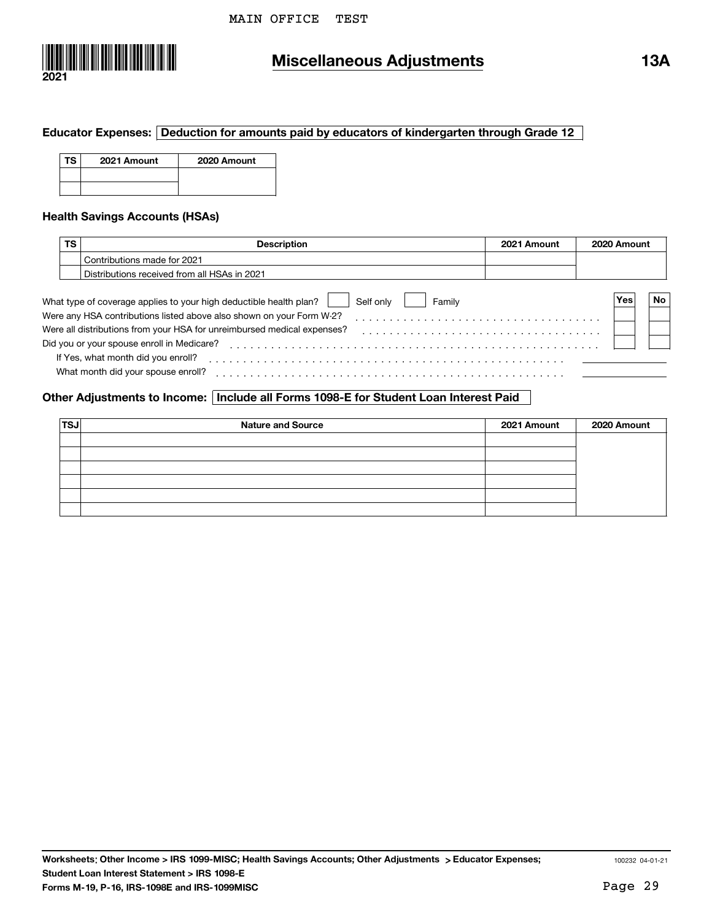

## **Miscellaneous Adjustments 13A**

#### **Educator Expenses: Deduction for amounts paid by educators of kindergarten through Grade 12**

| TS. | 2021 Amount | 2020 Amount |
|-----|-------------|-------------|
|     |             |             |
|     |             |             |

#### **Health Savings Accounts (HSAs)**

| ΤS | Description                                                                               | 2021 Amount | 2020 Amount |    |
|----|-------------------------------------------------------------------------------------------|-------------|-------------|----|
|    | Contributions made for 2021                                                               |             |             |    |
|    | Distributions received from all HSAs in 2021                                              |             |             |    |
|    | What type of coverage applies to your high deductible health plan?<br>Self only<br>Family |             | Yes         | No |
|    | Were any HSA contributions listed above also shown on your Form W-2?                      |             |             |    |
|    | Were all distributions from your HSA for unreimbursed medical expenses?                   |             |             |    |
|    | Did you or your spouse enroll in Medicare?                                                |             |             |    |
|    | If Yes, what month did you enroll?                                                        |             |             |    |
|    | What month did your spouse enroll?                                                        |             |             |    |

]]]]]]]]]]]]]]]]]]]]]]]]]]]]]]]]]]]]]]]]]]]]]]]]]]]

#### **Other Adjustments to Income: Include all Forms 1098-E for Student Loan Interest Paid**

| <b>TSJ</b> | <b>Nature and Source</b> | 2021 Amount | 2020 Amount |
|------------|--------------------------|-------------|-------------|
|            |                          |             |             |
|            |                          |             |             |
|            |                          |             |             |
|            |                          |             |             |
|            |                          |             |             |
|            |                          |             |             |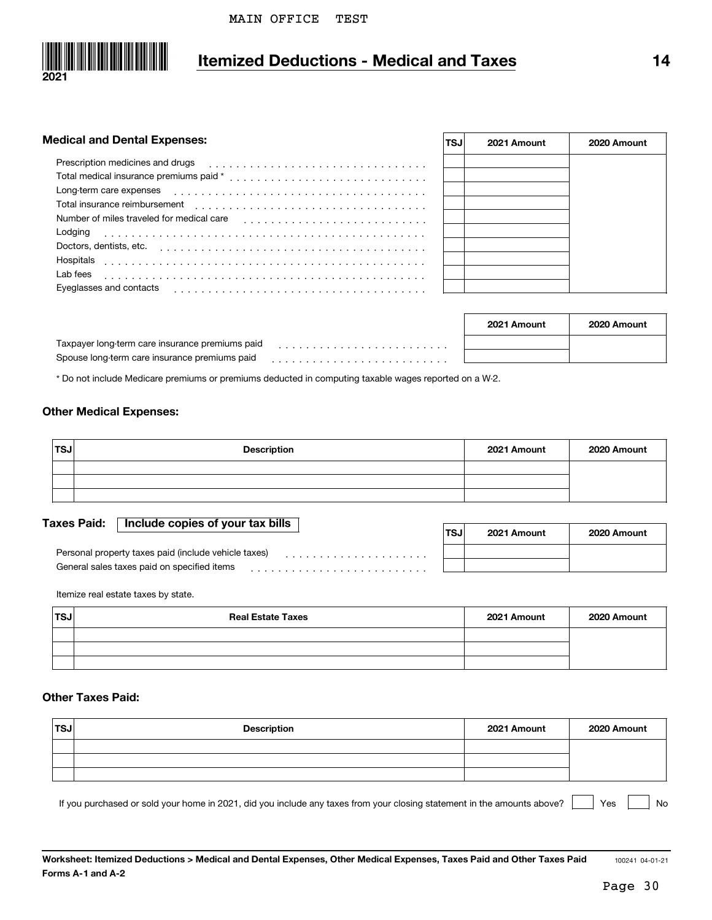

## **Itemized Deductions - Medical and Taxes 14**

| <b>Medical and Dental Expenses:</b>       | <b>TSJ</b> | 2021 Amount     | 2020 Amount      |
|-------------------------------------------|------------|-----------------|------------------|
| Prescription medicines and drugs          |            |                 |                  |
|                                           |            |                 |                  |
| Long-term care expenses                   |            |                 |                  |
| Total insurance reimbursement             |            |                 |                  |
| Number of miles traveled for medical care |            |                 |                  |
| Lodging                                   |            |                 |                  |
| Doctors, dentists, etc.                   |            |                 |                  |
| Hospitals                                 |            |                 |                  |
| Lab fees                                  |            |                 |                  |
| Eyeglasses and contacts                   |            |                 |                  |
|                                           |            |                 |                  |
|                                           |            | $0004$ Americal | $00000$ $0.0001$ |

|                                                 | 2021 Amount | 2020 Amount |
|-------------------------------------------------|-------------|-------------|
| Taxpayer long term care insurance premiums paid |             |             |
| Spouse long-term care insurance premiums paid   |             |             |

\* Do not include Medicare premiums or premiums deducted in computing taxable wages reported on a W-2.

#### **Other Medical Expenses:**

| $\mathsf{TSJ}$ | <b>Description</b> | 2021 Amount | 2020 Amount |
|----------------|--------------------|-------------|-------------|
|                |                    |             |             |
|                |                    |             |             |
|                |                    |             |             |

#### **Taxes Paid: Include copies of your tax bills**

|                                                      | TSJ | 2021 Amount | 2020 Amount |
|------------------------------------------------------|-----|-------------|-------------|
| Personal property taxes paid (include vehicle taxes) |     |             |             |
| General sales taxes paid on specified items          |     |             |             |

Itemize real estate taxes by state.

| 'TSJ | <b>Real Estate Taxes</b> | 2021 Amount | 2020 Amount |
|------|--------------------------|-------------|-------------|
|      |                          |             |             |
|      |                          |             |             |
|      |                          |             |             |

#### **Other Taxes Paid:**

| 'TSJ | <b>Description</b> | 2021 Amount | 2020 Amount |
|------|--------------------|-------------|-------------|
|      |                    |             |             |
|      |                    |             |             |
|      |                    |             |             |

If you purchased or sold your home in 2021, did you include any taxes from your closing statement in the amounts above?  $\begin{vmatrix} \cdot & \cdot & \cdot \\ \cdot & \cdot & \cdot \\ \cdot & \cdot & \cdot \end{vmatrix}$  Yes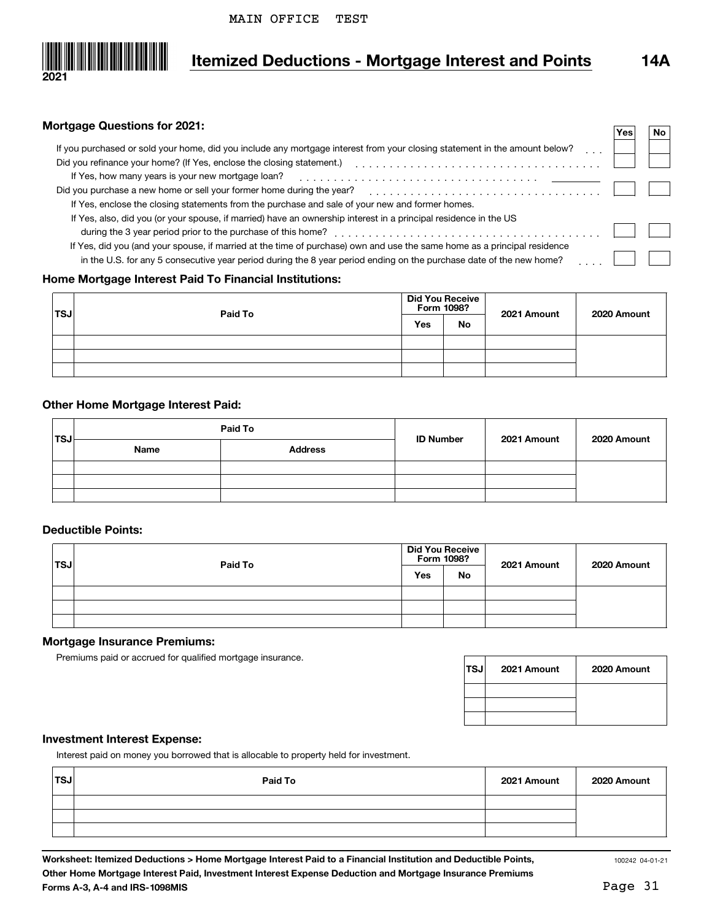

## **Itemized Deductions - Mortgage Interest and Points 14A**

#### **Mortgage Questions for 2021:**

|                                                                                                                            | Yes | No. |  |
|----------------------------------------------------------------------------------------------------------------------------|-----|-----|--|
| If you purchased or sold your home, did you include any mortgage interest from your closing statement in the amount below? |     |     |  |
| Did you refinance your home? (If Yes, enclose the closing statement.)                                                      |     |     |  |
| If Yes, how many years is your new mortgage loan?                                                                          |     |     |  |
| Did you purchase a new home or sell your former home during the year?                                                      |     |     |  |
| If Yes, enclose the closing statements from the purchase and sale of your new and former homes.                            |     |     |  |
| If Yes, also, did you (or your spouse, if married) have an ownership interest in a principal residence in the US           |     |     |  |
| during the 3 year period prior to the purchase of this home?                                                               |     |     |  |
| If Yes, did you (and your spouse, if married at the time of purchase) own and use the same home as a principal residence   |     |     |  |
| in the U.S. for any 5 consecutive year period during the 8 year period ending on the purchase date of the new home?        |     |     |  |
|                                                                                                                            |     |     |  |

#### **Home Mortgage Interest Paid To Financial Institutions:**

| 'TSJ | Paid To | <b>Did You Receive</b><br>Form 1098? |           | 2021 Amount | 2020 Amount |
|------|---------|--------------------------------------|-----------|-------------|-------------|
|      |         | Yes                                  | <b>No</b> |             |             |
|      |         |                                      |           |             |             |
|      |         |                                      |           |             |             |
|      |         |                                      |           |             |             |

#### **Other Home Mortgage Interest Paid:**

|      |      | Paid To        | <b>ID Number</b> | 2021 Amount | 2020 Amount |
|------|------|----------------|------------------|-------------|-------------|
| 'TSJ | Name | <b>Address</b> |                  |             |             |
|      |      |                |                  |             |             |
|      |      |                |                  |             |             |
|      |      |                |                  |             |             |

#### **Deductible Points:**

| ∣TSJ | Paid To |     | <b>Did You Receive</b><br>Form 1098? | 2021 Amount | 2020 Amount |
|------|---------|-----|--------------------------------------|-------------|-------------|
|      |         | Yes | <b>No</b>                            |             |             |
|      |         |     |                                      |             |             |
|      |         |     |                                      |             |             |
|      |         |     |                                      |             |             |

#### **Mortgage Insurance Premiums:**

Premiums paid or accrued for qualified mortgage insurance.

| <b>TSJ</b> | 2021 Amount | 2020 Amount |
|------------|-------------|-------------|
|            |             |             |
|            |             |             |
|            |             |             |

#### **Investment Interest Expense:**

Interest paid on money you borrowed that is allocable to property held for investment.

| 'TSJ | Paid To | 2021 Amount | 2020 Amount |
|------|---------|-------------|-------------|
|      |         |             |             |
|      |         |             |             |
|      |         |             |             |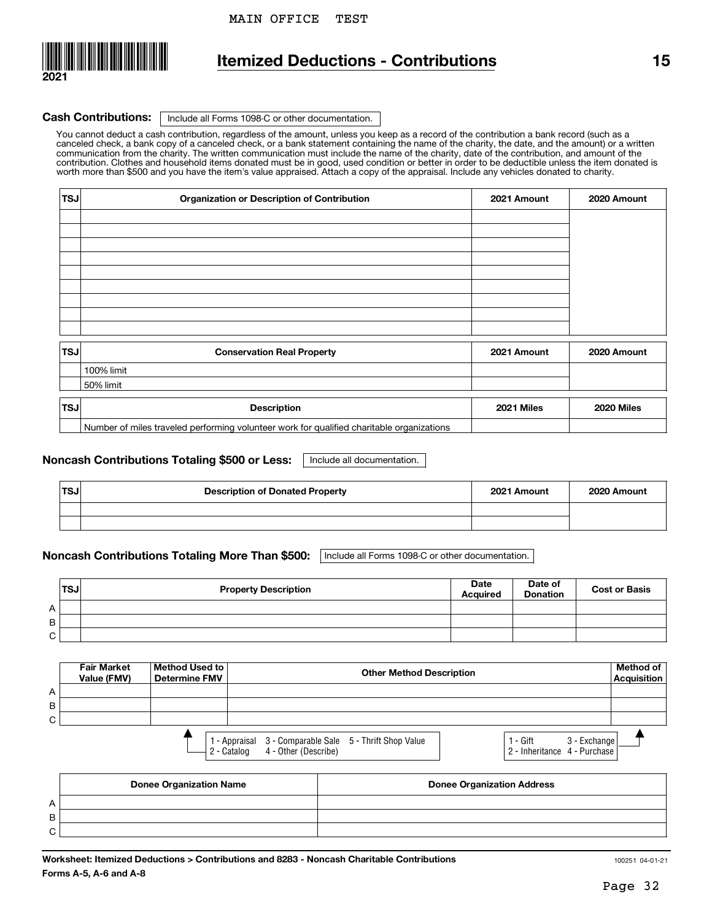

### **Itemized Deductions - Contributions 15**

#### Cash Contributions: | Include all Forms 1098-C or other documentation.

You cannot deduct a cash contribution, regardless of the amount, unless you keep as a record of the contribution a bank record (such as a canceled check, a bank copy of a canceled check, or a bank statement containing the name of the charity, the date, and the amount) or a written communication from the charity. The written communication must include the name of the charity, date of the contribution, and amount of the<br>contribution. Clothes and household items donated must be in good, used condition worth more than \$500 and you have the item's value appraised. Attach a copy of the appraisal. Include any vehicles donated to charity.

| <b>TSJ</b> | Organization or Description of Contribution                                               | 2021 Amount | 2020 Amount |
|------------|-------------------------------------------------------------------------------------------|-------------|-------------|
|            |                                                                                           |             |             |
|            |                                                                                           |             |             |
|            |                                                                                           |             |             |
|            |                                                                                           |             |             |
|            |                                                                                           |             |             |
|            |                                                                                           |             |             |
|            |                                                                                           |             |             |
|            |                                                                                           |             |             |
|            |                                                                                           |             |             |
| <b>TSJ</b> | <b>Conservation Real Property</b>                                                         | 2021 Amount | 2020 Amount |
|            | 100% limit                                                                                |             |             |
|            | 50% limit                                                                                 |             |             |
| <b>TSJ</b> | <b>Description</b>                                                                        | 2021 Miles  | 2020 Miles  |
|            | Number of miles traveled performing volunteer work for qualified charitable organizations |             |             |

#### | Include all documentation. **Noncash Contributions Totaling \$500 or Less:**

| <b>TSJ</b> | <b>Description of Donated Property</b> | 2021 Amount | 2020 Amount |
|------------|----------------------------------------|-------------|-------------|
|            |                                        |             |             |
|            |                                        |             |             |

#### **Noncash Contributions Totaling More Than \$500:** Include all Forms 1098-C or other documentation.

|   | <b>TSJ</b> | <b>Property Description</b> | <b>Date</b><br><b>Acquired</b> | Date of<br><b>Donation</b> | <b>Cost or Basis</b> |
|---|------------|-----------------------------|--------------------------------|----------------------------|----------------------|
| A |            |                             |                                |                            |                      |
| B |            |                             |                                |                            |                      |
| C |            |                             |                                |                            |                      |

|   | <b>Fair Market</b><br>Value (FMV) | Method Used to<br><b>Determine FMV</b> | <b>Other Method Description</b>                                                                |                                                             | Method of<br>Acquisition |
|---|-----------------------------------|----------------------------------------|------------------------------------------------------------------------------------------------|-------------------------------------------------------------|--------------------------|
| А |                                   |                                        |                                                                                                |                                                             |                          |
| B |                                   |                                        |                                                                                                |                                                             |                          |
| C |                                   |                                        |                                                                                                |                                                             |                          |
|   |                                   |                                        | 1 - Appraisal 3 - Comparable Sale 5 - Thrift Shop Value<br>4 - Other (Describe)<br>2 - Catalog | 3 - Exchange<br>1 - Gift<br>$ 2 -$ Inheritance 4 - Purchase |                          |

|             | <b>Donee Organization Name</b> | <b>Donee Organization Address</b> |
|-------------|--------------------------------|-----------------------------------|
| A           |                                |                                   |
| В           |                                |                                   |
| $\sim$<br>U |                                |                                   |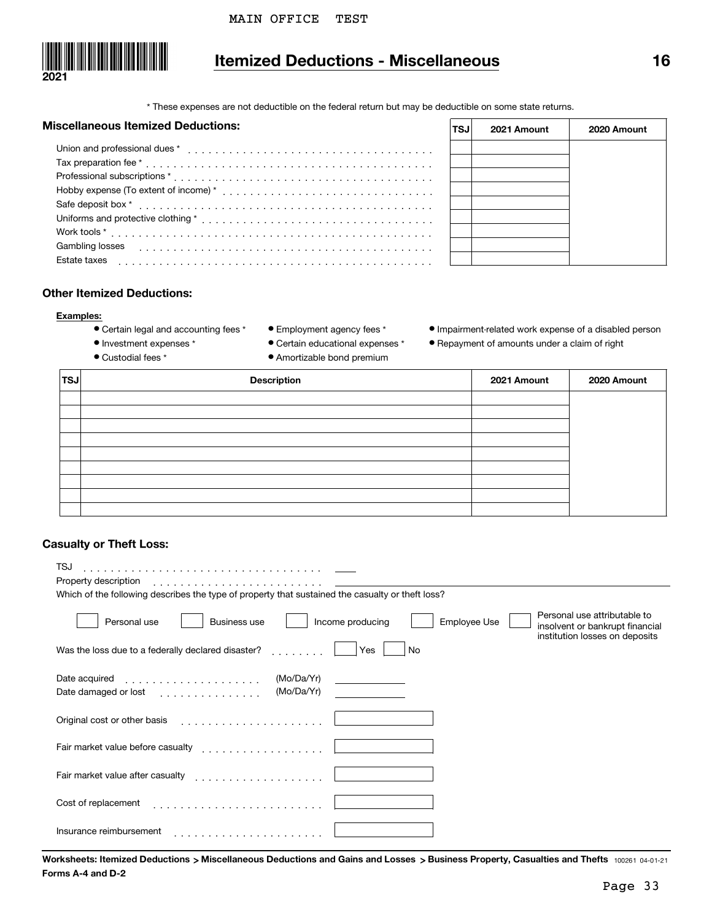

## **Itemized Deductions - Miscellaneous 16**

\* These expenses are not deductible on the federal return but may be deductible on some state returns.

 $\boxed{\phantom{a}}$ 

#### **Miscellaneous Itemized Deductions:**

| liscellaneous Itemized Deductions: | TSJ | 2021 Amount | 2020 Amount |
|------------------------------------|-----|-------------|-------------|
|                                    |     |             |             |
|                                    |     |             |             |
|                                    |     |             |             |
|                                    |     |             |             |
| Safe deposit box *                 |     |             |             |
|                                    |     |             |             |
| Work tools *                       |     |             |             |
| Gambling losses                    |     |             |             |
| Estate taxes                       |     |             |             |

#### **Other Itemized Deductions:**

#### **Examples:**

- Certain legal and accounting fees \*
- Employment agency fees \*
- ¥ Impairment-related work expense of a disabled person
- Repayment of amounts under a claim of right
- ¥ Investment expenses \* ● Custodial fees \*
- ¥ Certain educational expenses \* • Amortizable bond premium
- **TSJDescription 2021 Amount 2020 Amount**

#### **Casualty or Theft Loss:**

| TSJ<br>Property description                                                                                                                                                  |
|------------------------------------------------------------------------------------------------------------------------------------------------------------------------------|
| Which of the following describes the type of property that sustained the casualty or theft loss?                                                                             |
| Personal use attributable to<br>Personal use<br>Income producing<br>Employee Use<br><b>Business use</b><br>insolvent or bankrupt financial<br>institution losses on deposits |
| Was the loss due to a federally declared disaster?<br>Yes<br>No                                                                                                              |
| (Mo/Da/Yr)<br>Date acquired<br>(Mo/Da/Yr)<br>Date damaged or lost                                                                                                            |
| Original cost or other basis                                                                                                                                                 |
| Fair market value before casualty<br>.                                                                                                                                       |
| Fair market value after casualty<br>.                                                                                                                                        |
| Cost of replacement                                                                                                                                                          |
| Insurance reimbursement                                                                                                                                                      |

Worksheets: Itemized Deductions > Miscellaneous Deductions and Gains and Losses >Business Property, Casualties and Thefts  <sub>100261</sub> o4-01-21 **Forms A-4 and D-2**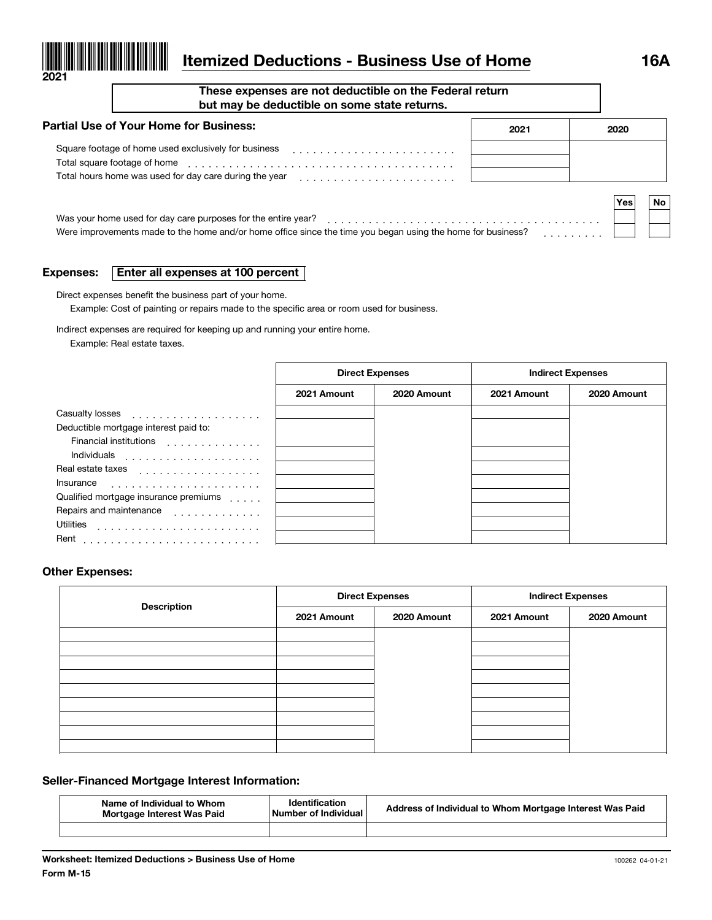

# **Itemized Deductions - Business Use of Home 16A**

**These expenses are not deductible on the Federal return but may be deductible on some state returns.**

| <b>Partial Use of Your Home for Business:</b>                                                                                                                                | 2021 | 2020 |    |
|------------------------------------------------------------------------------------------------------------------------------------------------------------------------------|------|------|----|
| Square footage of home used exclusively for business<br>Total square footage of home<br>Total hours home was used for day care during the year                               |      |      |    |
|                                                                                                                                                                              |      | Yes  | No |
| Was your home used for day care purposes for the entire year?<br>Were improvements made to the home and/or home office since the time you began using the home for business? |      |      |    |

#### **Expenses:Enter all expenses at 100 percent**

Direct expenses benefit the business part of your home.

Example: Cost of painting or repairs made to the specific area or room used for business.

Indirect expenses are required for keeping up and running your entire home.

Example: Real estate taxes.

|                                                                 | <b>Direct Expenses</b> |             | <b>Indirect Expenses</b> |             |
|-----------------------------------------------------------------|------------------------|-------------|--------------------------|-------------|
|                                                                 | 2021 Amount            | 2020 Amount | 2021 Amount              | 2020 Amount |
| Casualty losses<br>.                                            |                        |             |                          |             |
| Deductible mortgage interest paid to:                           |                        |             |                          |             |
| <b>Financial institutions</b><br>and a contract of the contract |                        |             |                          |             |
| Individuals<br>.                                                |                        |             |                          |             |
| Real estate taxes<br>.                                          |                        |             |                          |             |
| Insurance                                                       |                        |             |                          |             |
| Qualified mortgage insurance premiums                           |                        |             |                          |             |
| Repairs and maintenance<br>.                                    |                        |             |                          |             |
| <b>Utilities</b>                                                |                        |             |                          |             |
| Rent                                                            |                        |             |                          |             |

#### **Other Expenses:**

| <b>Description</b> |             | <b>Direct Expenses</b><br><b>Indirect Expenses</b> |             |             |
|--------------------|-------------|----------------------------------------------------|-------------|-------------|
|                    | 2021 Amount | 2020 Amount                                        | 2021 Amount | 2020 Amount |
|                    |             |                                                    |             |             |
|                    |             |                                                    |             |             |
|                    |             |                                                    |             |             |
|                    |             |                                                    |             |             |
|                    |             |                                                    |             |             |
|                    |             |                                                    |             |             |
|                    |             |                                                    |             |             |
|                    |             |                                                    |             |             |

#### **Seller-Financed Mortgage Interest Information:**

| Name of Individual to Whom<br>Mortgage Interest Was Paid | <b>Identification</b><br>Number of Individual | Address of Individual to Whom Mortgage Interest Was Paid |
|----------------------------------------------------------|-----------------------------------------------|----------------------------------------------------------|
|                                                          |                                               |                                                          |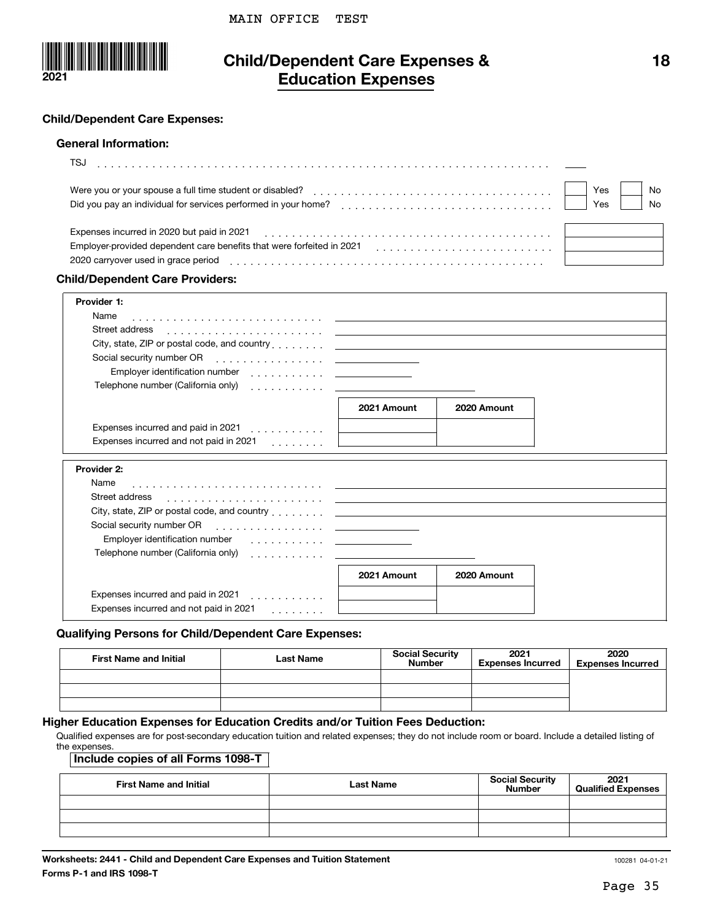

### **Child/Dependent Care Expenses & Education Expenses**

#### **Child/Dependent Care Expenses:**

#### **General Information:**

| TS.                                                                   |     |     |
|-----------------------------------------------------------------------|-----|-----|
| Were you or your spouse a full time student or disabled?              | Yes | No. |
| Did you pay an individual for services performed in your home?        | Yes | No. |
| Expenses incurred in 2020 but paid in 2021                            |     |     |
| Employer-provided dependent care benefits that were forfeited in 2021 |     |     |
| 2020 carryover used in grace period                                   |     |     |
|                                                                       |     |     |

#### **Child/Dependent Care Providers:**

| Provider 1:                                                                                                                                                                                                                    |             |             |  |
|--------------------------------------------------------------------------------------------------------------------------------------------------------------------------------------------------------------------------------|-------------|-------------|--|
| Name                                                                                                                                                                                                                           |             |             |  |
| Street address                                                                                                                                                                                                                 |             |             |  |
| City, state, ZIP or postal code, and country entering and country and the control of the control of the control of the control of the control of the control of the control of the control of the control of the control of th |             |             |  |
|                                                                                                                                                                                                                                |             |             |  |
| Employer identification number<br><u> 1999 - Johann Stone, mars and de Brandenburg (b. 1918)</u>                                                                                                                               |             |             |  |
|                                                                                                                                                                                                                                |             |             |  |
|                                                                                                                                                                                                                                |             |             |  |
|                                                                                                                                                                                                                                | 2021 Amount | 2020 Amount |  |
| Expenses incurred and paid in 2021                                                                                                                                                                                             |             |             |  |
| Expenses incurred and not paid in 2021<br>.                                                                                                                                                                                    |             |             |  |
|                                                                                                                                                                                                                                |             |             |  |
| Provider 2:                                                                                                                                                                                                                    |             |             |  |
| Name                                                                                                                                                                                                                           |             |             |  |
| Street address                                                                                                                                                                                                                 |             |             |  |
| City state ZIP or postal code and country                                                                                                                                                                                      |             |             |  |

| City, state, ZIP or postal code, and country _______ |             |             |
|------------------------------------------------------|-------------|-------------|
| Social security number OR<br>. <u>.</u>              |             |             |
| Employer identification number                       |             |             |
| Telephone number (California only)                   |             |             |
|                                                      | 2021 Amount | 2020 Amount |
| Expenses incurred and paid in 2021<br>.              |             |             |
| Expenses incurred and not paid in 2021               |             |             |

#### **Qualifying Persons for Child/Dependent Care Expenses:**

| <b>First Name and Initial</b> | <b>Last Name</b> | <b>Social Security</b><br><b>Number</b> | 2021<br><b>Expenses Incurred</b> | 2020<br><b>Expenses Incurred</b> |
|-------------------------------|------------------|-----------------------------------------|----------------------------------|----------------------------------|
|                               |                  |                                         |                                  |                                  |
|                               |                  |                                         |                                  |                                  |
|                               |                  |                                         |                                  |                                  |

### **Higher Education Expenses for Education Credits and/or Tuition Fees Deduction:**

Qualified expenses are for post-secondary education tuition and related expenses; they do not include room or board. Include a detailed listing of the expenses.

### **Include copies of all Forms 1098-T**

| <b>First Name and Initial</b> | <b>Last Name</b> | <b>Social Security</b><br><b>Number</b> | 2021<br><b>Qualified Expenses</b> |
|-------------------------------|------------------|-----------------------------------------|-----------------------------------|
|                               |                  |                                         |                                   |
|                               |                  |                                         |                                   |
|                               |                  |                                         |                                   |

**18**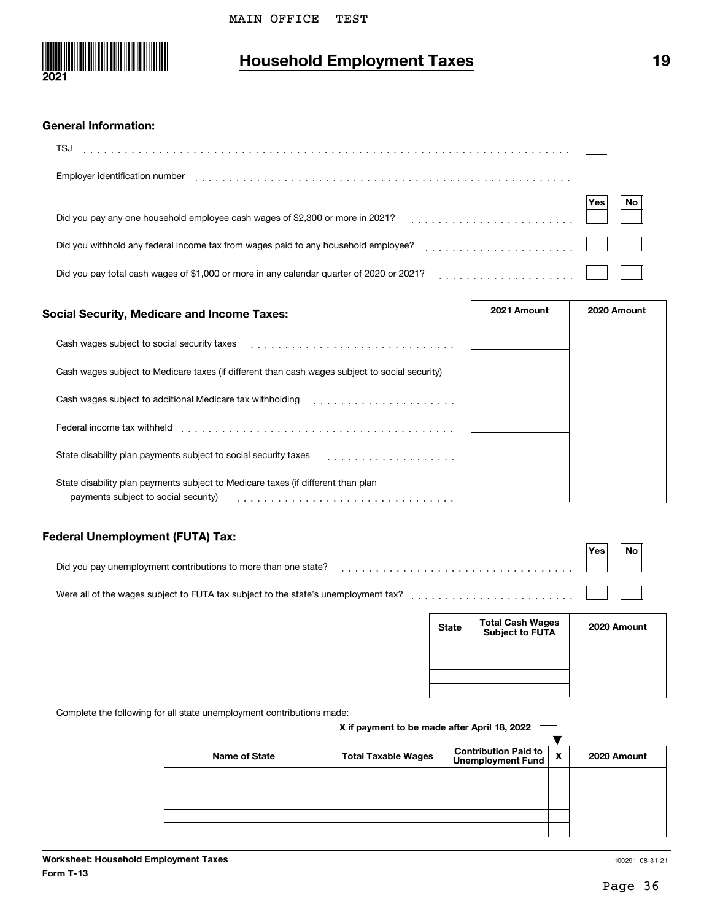

# **Household Employment Taxes 19**

| <b>General Information:</b>                                                                   |           |
|-----------------------------------------------------------------------------------------------|-----------|
| TSJ                                                                                           |           |
| Employer identification number                                                                |           |
| Did you pay any one household employee cash wages of \$2,300 or more in 2021?                 | No<br>Yes |
| Did you withhold any federal income tax from wages paid to any household employee?            |           |
| Did you pay total cash wages of \$1,000 or more in any calendar guarter of 2020 or 2021?<br>. |           |

| <b>Social Security, Medicare and Income Taxes:</b>                                                                       | 2021 Amount | 2020 Amount |
|--------------------------------------------------------------------------------------------------------------------------|-------------|-------------|
| Cash wages subject to social security taxes                                                                              |             |             |
| Cash wages subject to Medicare taxes (if different than cash wages subject to social security)                           |             |             |
| Cash wages subject to additional Medicare tax withholding                                                                |             |             |
| Federal income tax withheld                                                                                              |             |             |
| State disability plan payments subject to social security taxes                                                          |             |             |
| State disability plan payments subject to Medicare taxes (if different than plan<br>payments subject to social security) |             |             |

### **Federal Unemployment (FUTA) Tax:**

|                                                                                                                                       | Yes. | No |  |
|---------------------------------------------------------------------------------------------------------------------------------------|------|----|--|
| Were all of the wages subject to FUTA tax subject to the state's unemployment tax? $\ldots \ldots \ldots \ldots \ldots \ldots \ldots$ |      |    |  |

| <b>State</b> | <b>Total Cash Wages</b><br>Subject to FUTA | 2020 Amount |
|--------------|--------------------------------------------|-------------|
|              |                                            |             |
|              |                                            |             |
|              |                                            |             |

Complete the following for all state unemployment contributions made:

#### **X if payment to be made after April 18, 2022**

| <b>Name of State</b> | <b>Total Taxable Wages</b> | Contribution Paid to<br>Unemployment Fund | X | 2020 Amount |
|----------------------|----------------------------|-------------------------------------------|---|-------------|
|                      |                            |                                           |   |             |
|                      |                            |                                           |   |             |
|                      |                            |                                           |   |             |
|                      |                            |                                           |   |             |
|                      |                            |                                           |   |             |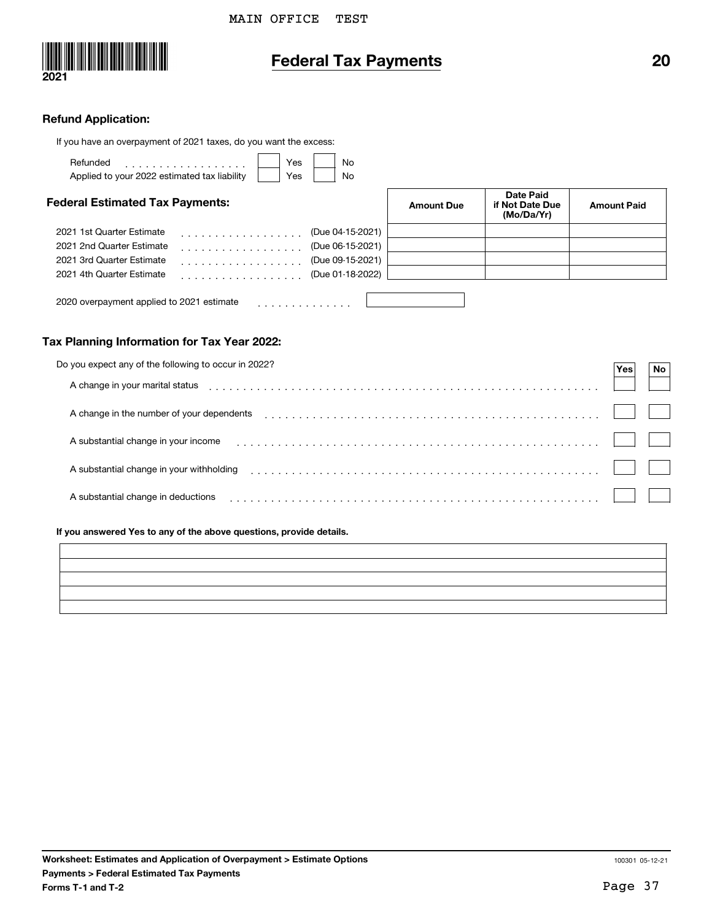

# **Federal Tax Payments 20**

#### **Refund Application:**

| If you have an overpayment of 2021 taxes, do you want the excess: |                   |                                                   |                    |
|-------------------------------------------------------------------|-------------------|---------------------------------------------------|--------------------|
| <b>Yes</b><br>Refunded<br>No<br>.                                 |                   |                                                   |                    |
| Applied to your 2022 estimated tax liability<br>Yes<br>No         |                   |                                                   |                    |
| <b>Federal Estimated Tax Payments:</b>                            | <b>Amount Due</b> | <b>Date Paid</b><br>if Not Date Due<br>(Mo/Da/Yr) | <b>Amount Paid</b> |
| 2021 1st Quarter Estimate<br>(Due 04-15-2021)<br>.                |                   |                                                   |                    |
| 2021 2nd Quarter Estimate<br>(Due 06-15-2021)<br>.                |                   |                                                   |                    |
| 2021 3rd Quarter Estimate<br>(Due 09-15-2021)<br>.                |                   |                                                   |                    |
| 2021 4th Quarter Estimate<br>(Due 01-18-2022)<br>.                |                   |                                                   |                    |
| 2020 overpayment applied to 2021 estimate                         |                   |                                                   |                    |

#### **Tax Planning Information for Tax Year 2022:**

| Do you expect any of the following to occur in 2022? | Yes. | No |  |
|------------------------------------------------------|------|----|--|
| A change in your marital status                      |      |    |  |
| A change in the number of your dependents            |      |    |  |
| A substantial change in your income                  |      |    |  |
| A substantial change in your withholding             |      |    |  |
| A substantial change in deductions                   |      |    |  |

#### **If you answered Yes to any of the above questions, provide details.**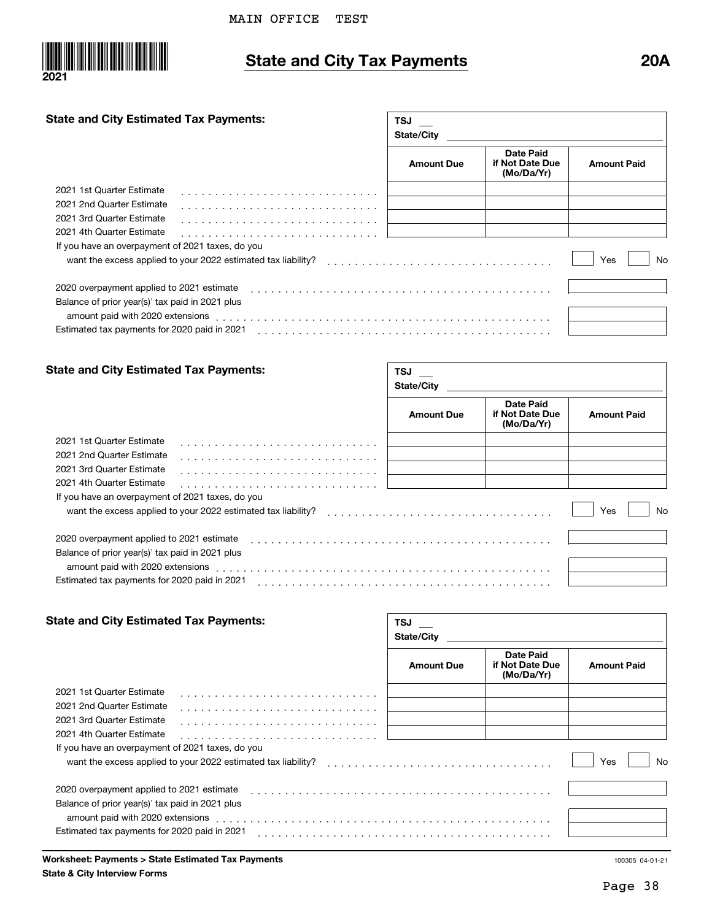

# **State and City Tax Payments 20A**

 $\sqrt{TSJ}$ 

#### **State and City Estimated Tax Payments:**

|                                                                                                                 | <b>State/City</b> |                                            |                    |
|-----------------------------------------------------------------------------------------------------------------|-------------------|--------------------------------------------|--------------------|
|                                                                                                                 | <b>Amount Due</b> | Date Paid<br>if Not Date Due<br>(Mo/Da/Yr) | <b>Amount Paid</b> |
| 2021 1st Quarter Estimate                                                                                       |                   |                                            |                    |
| 2021 2nd Quarter Estimate                                                                                       |                   |                                            |                    |
| 2021 3rd Quarter Estimate                                                                                       |                   |                                            |                    |
| 2021 4th Quarter Estimate                                                                                       |                   |                                            |                    |
| If you have an overpayment of 2021 taxes, do you                                                                |                   |                                            |                    |
| want the excess applied to your 2022 estimated tax liability?                                                   |                   |                                            | Yes<br>No          |
| 2020 overpayment applied to 2021 estimate                                                                       |                   |                                            |                    |
| Balance of prior year(s)' tax paid in 2021 plus                                                                 |                   |                                            |                    |
| amount paid with 2020 extensions extensions and the contract of the contract of the contract of the contract of |                   |                                            |                    |
| Estimated tax payments for 2020 paid in 2021                                                                    |                   |                                            |                    |

#### **State and City Estimated Tax Payments:**

| <b>State and City Estimated Tax Payments:</b>                                                                                                                                                                                 | TSJ<br><b>State/City</b> |                                            |                    |  |  |
|-------------------------------------------------------------------------------------------------------------------------------------------------------------------------------------------------------------------------------|--------------------------|--------------------------------------------|--------------------|--|--|
|                                                                                                                                                                                                                               | <b>Amount Due</b>        | Date Paid<br>if Not Date Due<br>(Mo/Da/Yr) | <b>Amount Paid</b> |  |  |
| 2021 1st Quarter Estimate                                                                                                                                                                                                     |                          |                                            |                    |  |  |
| 2021 2nd Quarter Estimate                                                                                                                                                                                                     |                          |                                            |                    |  |  |
| 2021 3rd Quarter Estimate                                                                                                                                                                                                     |                          |                                            |                    |  |  |
| 2021 4th Quarter Estimate                                                                                                                                                                                                     |                          |                                            |                    |  |  |
| If you have an overpayment of 2021 taxes, do you                                                                                                                                                                              |                          |                                            |                    |  |  |
| want the excess applied to your 2022 estimated tax liability?                                                                                                                                                                 |                          |                                            | Yes<br>No          |  |  |
| 2020 overpayment applied to 2021 estimate experience of the state of the state of the state of the state of the state of the state of the state of the state of the state of the state of the state of the state of the state |                          |                                            |                    |  |  |
| Balance of prior year(s)' tax paid in 2021 plus                                                                                                                                                                               |                          |                                            |                    |  |  |
| amount paid with 2020 extensions extensions and the state of the state of the state of the state of the state o                                                                                                               |                          |                                            |                    |  |  |
| Estimated tax payments for 2020 paid in 2021                                                                                                                                                                                  |                          |                                            |                    |  |  |

| <b>State and City Estimated Tax Payments:</b>                                                                   | TSJ<br><b>State/City</b> |                                                   |                    |  |  |
|-----------------------------------------------------------------------------------------------------------------|--------------------------|---------------------------------------------------|--------------------|--|--|
|                                                                                                                 | <b>Amount Due</b>        | <b>Date Paid</b><br>if Not Date Due<br>(Mo/Da/Yr) | <b>Amount Paid</b> |  |  |
| 2021 1st Quarter Estimate                                                                                       |                          |                                                   |                    |  |  |
| 2021 2nd Quarter Estimate                                                                                       |                          |                                                   |                    |  |  |
| 2021 3rd Quarter Estimate                                                                                       |                          |                                                   |                    |  |  |
| 2021 4th Quarter Estimate                                                                                       |                          |                                                   |                    |  |  |
| If you have an overpayment of 2021 taxes, do you                                                                |                          |                                                   |                    |  |  |
| want the excess applied to your 2022 estimated tax liability?                                                   |                          |                                                   | Yes<br>No          |  |  |
| 2020 overpayment applied to 2021 estimate                                                                       |                          |                                                   |                    |  |  |
| Balance of prior year(s)' tax paid in 2021 plus                                                                 |                          |                                                   |                    |  |  |
| amount paid with 2020 extensions extensions and the contract of the contract of the contract of the contract of |                          |                                                   |                    |  |  |
| Estimated tax payments for 2020 paid in 2021                                                                    |                          |                                                   |                    |  |  |
|                                                                                                                 |                          |                                                   |                    |  |  |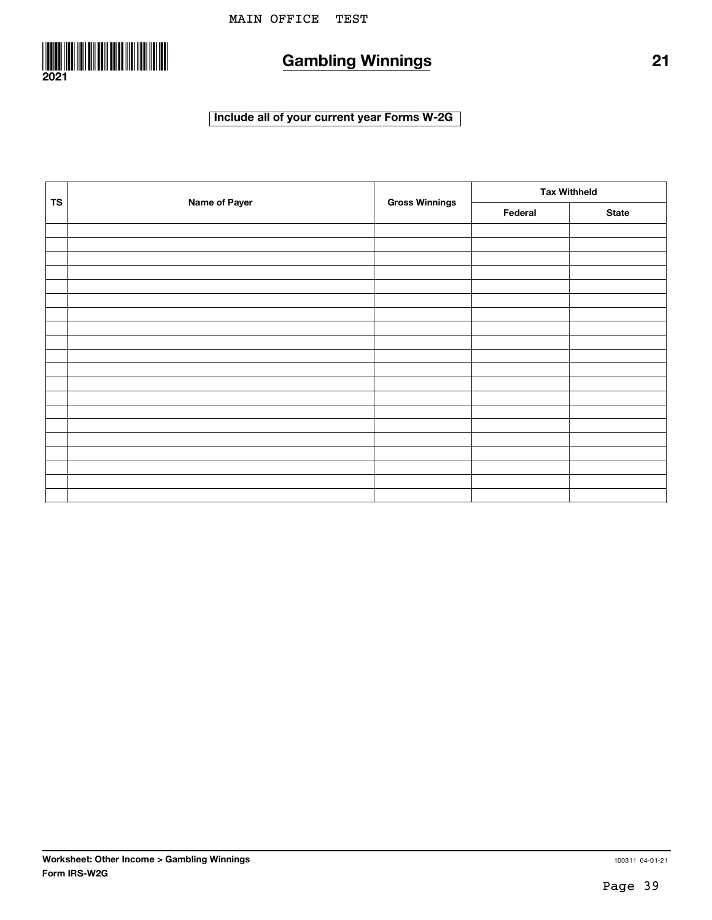

# **Gambling Winnings 21**

### **Include all of your current year Forms W-2G**

| <b>TS</b> | Name of Payer | <b>Gross Winnings</b> | <b>Tax Withheld</b> |              |  |
|-----------|---------------|-----------------------|---------------------|--------------|--|
|           |               |                       | Federal             | <b>State</b> |  |
|           |               |                       |                     |              |  |
|           |               |                       |                     |              |  |
|           |               |                       |                     |              |  |
|           |               |                       |                     |              |  |
|           |               |                       |                     |              |  |
|           |               |                       |                     |              |  |
|           |               |                       |                     |              |  |
|           |               |                       |                     |              |  |
|           |               |                       |                     |              |  |
|           |               |                       |                     |              |  |
|           |               |                       |                     |              |  |
|           |               |                       |                     |              |  |
|           |               |                       |                     |              |  |
|           |               |                       |                     |              |  |
|           |               |                       |                     |              |  |
|           |               |                       |                     |              |  |
|           |               |                       |                     |              |  |
|           |               |                       |                     |              |  |
|           |               |                       |                     |              |  |
|           |               |                       |                     |              |  |